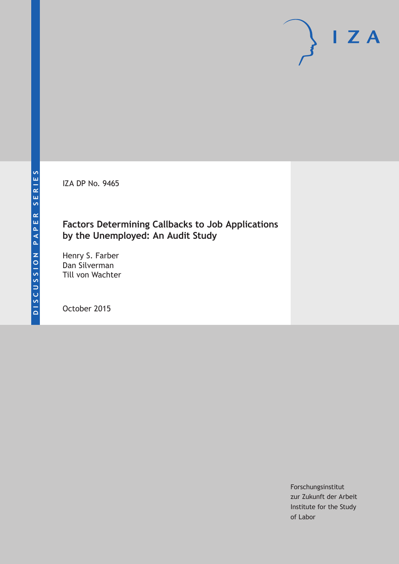IZA DP No. 9465

### **Factors Determining Callbacks to Job Applications by the Unemployed: An Audit Study**

Henry S. Farber Dan Silverman Till von Wachter

October 2015

Forschungsinstitut zur Zukunft der Arbeit Institute for the Study of Labor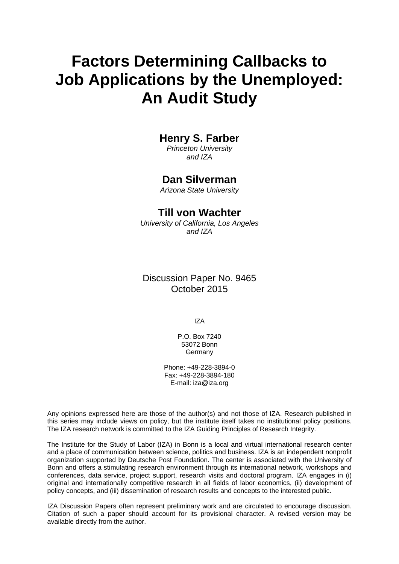# **Factors Determining Callbacks to Job Applications by the Unemployed: An Audit Study**

### **Henry S. Farber**

*Princeton University and IZA* 

### **Dan Silverman**

*Arizona State University* 

#### **Till von Wachter**

*University of California, Los Angeles and IZA*

### Discussion Paper No. 9465 October 2015

IZA

P.O. Box 7240 53072 Bonn **Germany** 

Phone: +49-228-3894-0 Fax: +49-228-3894-180 E-mail: iza@iza.org

Any opinions expressed here are those of the author(s) and not those of IZA. Research published in this series may include views on policy, but the institute itself takes no institutional policy positions. The IZA research network is committed to the IZA Guiding Principles of Research Integrity.

The Institute for the Study of Labor (IZA) in Bonn is a local and virtual international research center and a place of communication between science, politics and business. IZA is an independent nonprofit organization supported by Deutsche Post Foundation. The center is associated with the University of Bonn and offers a stimulating research environment through its international network, workshops and conferences, data service, project support, research visits and doctoral program. IZA engages in (i) original and internationally competitive research in all fields of labor economics, (ii) development of policy concepts, and (iii) dissemination of research results and concepts to the interested public.

IZA Discussion Papers often represent preliminary work and are circulated to encourage discussion. Citation of such a paper should account for its provisional character. A revised version may be available directly from the author.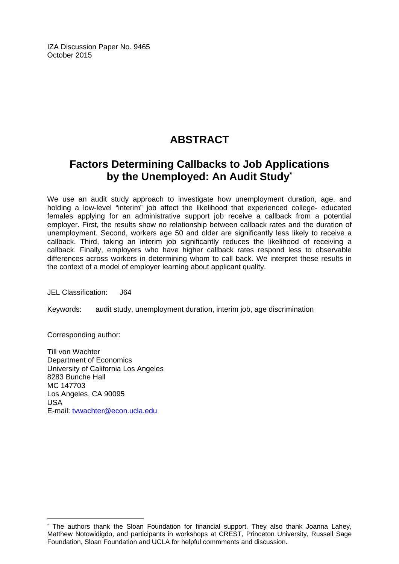IZA Discussion Paper No. 9465 October 2015

# **ABSTRACT**

## **Factors Determining Callbacks to Job Applications by the Unemployed: An Audit Study\***

We use an audit study approach to investigate how unemployment duration, age, and holding a low-level "interim" job affect the likelihood that experienced college- educated females applying for an administrative support job receive a callback from a potential employer. First, the results show no relationship between callback rates and the duration of unemployment. Second, workers age 50 and older are significantly less likely to receive a callback. Third, taking an interim job significantly reduces the likelihood of receiving a callback. Finally, employers who have higher callback rates respond less to observable differences across workers in determining whom to call back. We interpret these results in the context of a model of employer learning about applicant quality.

JEL Classification: J64

Keywords: audit study, unemployment duration, interim job, age discrimination

Corresponding author:

 $\overline{a}$ 

Till von Wachter Department of Economics University of California Los Angeles 8283 Bunche Hall MC 147703 Los Angeles, CA 90095 USA E-mail: tvwachter@econ.ucla.edu

<sup>\*</sup> The authors thank the Sloan Foundation for financial support. They also thank Joanna Lahey, Matthew Notowidigdo, and participants in workshops at CREST, Princeton University, Russell Sage Foundation, Sloan Foundation and UCLA for helpful commments and discussion.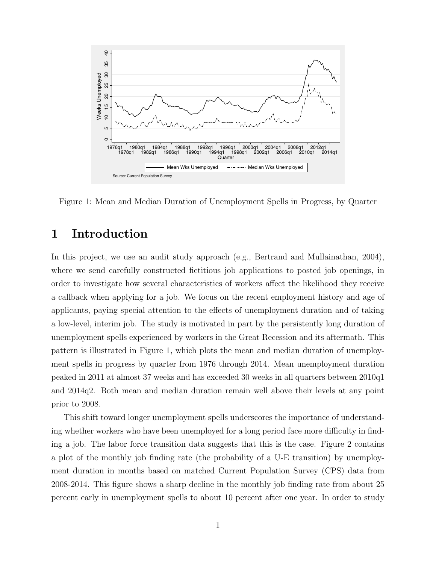

Figure 1: Mean and Median Duration of Unemployment Spells in Progress, by Quarter

### 1 Introduction

In this project, we use an audit study approach (e.g., Bertrand and Mullainathan, 2004), where we send carefully constructed fictitious job applications to posted job openings, in order to investigate how several characteristics of workers affect the likelihood they receive a callback when applying for a job. We focus on the recent employment history and age of applicants, paying special attention to the effects of unemployment duration and of taking a low-level, interim job. The study is motivated in part by the persistently long duration of unemployment spells experienced by workers in the Great Recession and its aftermath. This pattern is illustrated in Figure 1, which plots the mean and median duration of unemployment spells in progress by quarter from 1976 through 2014. Mean unemployment duration peaked in 2011 at almost 37 weeks and has exceeded 30 weeks in all quarters between 2010q1 and 2014q2. Both mean and median duration remain well above their levels at any point prior to 2008.

This shift toward longer unemployment spells underscores the importance of understanding whether workers who have been unemployed for a long period face more difficulty in finding a job. The labor force transition data suggests that this is the case. Figure 2 contains a plot of the monthly job finding rate (the probability of a U-E transition) by unemployment duration in months based on matched Current Population Survey (CPS) data from 2008-2014. This figure shows a sharp decline in the monthly job finding rate from about 25 percent early in unemployment spells to about 10 percent after one year. In order to study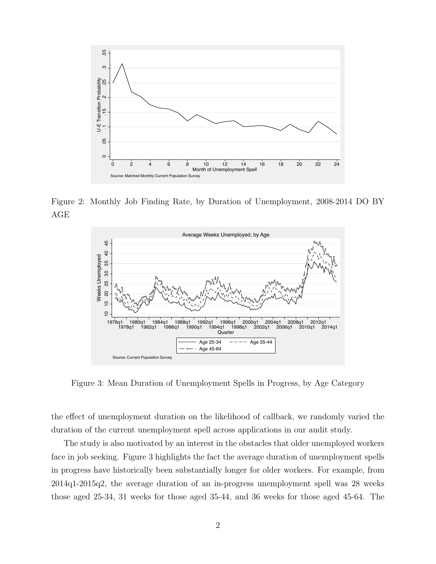

Figure 2: Monthly Job Finding Rate, by Duration of Unemployment, 2008-2014 DO BY AGE



Figure 3: Mean Duration of Unemployment Spells in Progress, by Age Category

the effect of unemployment duration on the likelihood of callback, we randomly varied the duration of the current unemployment spell across applications in our audit study.

The study is also motivated by an interest in the obstacles that older unemployed workers face in job seeking. Figure 3 highlights the fact the average duration of unemployment spells in progress have historically been substantially longer for older workers. For example, from 2014q1-2015q2, the average duration of an in-progress unemployment spell was 28 weeks those aged 25-34, 31 weeks for those aged 35-44, and 36 weeks for those aged 45-64. The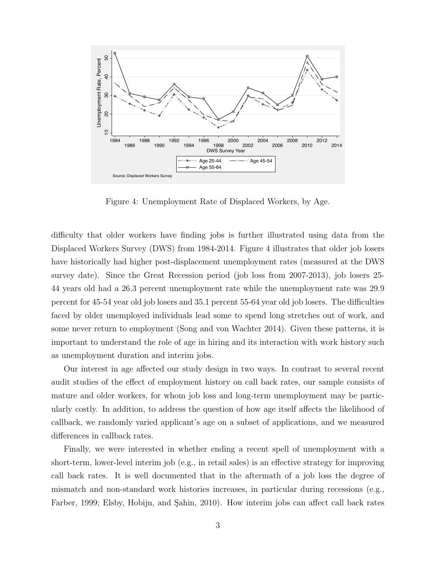

Figure 4: Unemployment Rate of Displaced Workers, by Age.

difficulty that older workers have finding jobs is further illustrated using data from the Displaced Workers Survey (DWS) from 1984-2014. Figure 4 illustrates that older job losers have historically had higher post-displacement unemployment rates (measured at the DWS survey date). Since the Great Recession period (job loss from 2007-2013), job losers 25- 44 years old had a 26.3 percent unemployment rate while the unemployment rate was 29.9 percent for 45-54 year old job losers and 35.1 percent 55-64 year old job losers. The difficulties faced by older unemployed individuals lead some to spend long stretches out of work, and some never return to employment (Song and von Wachter 2014). Given these patterns, it is important to understand the role of age in hiring and its interaction with work history such as unemployment duration and interim jobs.

Our interest in age affected our study design in two ways. In contrast to several recent audit studies of the effect of employment history on call back rates, our sample consists of mature and older workers, for whom job loss and long-term unemployment may be particularly costly. In addition, to address the question of how age itself affects the likelihood of callback, we randomly varied applicant's age on a subset of applications, and we measured differences in callback rates.

Finally, we were interested in whether ending a recent spell of unemployment with a short-term, lower-level interim job (e.g., in retail sales) is an effective strategy for improving call back rates. It is well documented that in the aftermath of a job loss the degree of mismatch and non-standard work histories increases, in particular during recessions (e.g., Farber, 1999; Elsby, Hobijn, and Şahin, 2010). How interim jobs can affect call back rates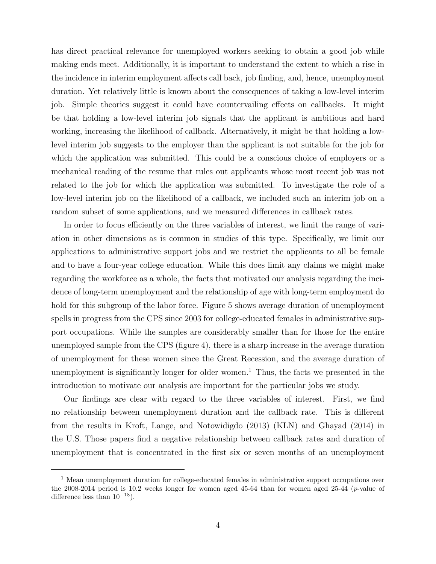has direct practical relevance for unemployed workers seeking to obtain a good job while making ends meet. Additionally, it is important to understand the extent to which a rise in the incidence in interim employment affects call back, job finding, and, hence, unemployment duration. Yet relatively little is known about the consequences of taking a low-level interim job. Simple theories suggest it could have countervailing effects on callbacks. It might be that holding a low-level interim job signals that the applicant is ambitious and hard working, increasing the likelihood of callback. Alternatively, it might be that holding a lowlevel interim job suggests to the employer than the applicant is not suitable for the job for which the application was submitted. This could be a conscious choice of employers or a mechanical reading of the resume that rules out applicants whose most recent job was not related to the job for which the application was submitted. To investigate the role of a low-level interim job on the likelihood of a callback, we included such an interim job on a random subset of some applications, and we measured differences in callback rates.

In order to focus efficiently on the three variables of interest, we limit the range of variation in other dimensions as is common in studies of this type. Specifically, we limit our applications to administrative support jobs and we restrict the applicants to all be female and to have a four-year college education. While this does limit any claims we might make regarding the workforce as a whole, the facts that motivated our analysis regarding the incidence of long-term unemployment and the relationship of age with long-term employment do hold for this subgroup of the labor force. Figure 5 shows average duration of unemployment spells in progress from the CPS since 2003 for college-educated females in administrative support occupations. While the samples are considerably smaller than for those for the entire unemployed sample from the CPS (figure 4), there is a sharp increase in the average duration of unemployment for these women since the Great Recession, and the average duration of unemployment is significantly longer for older women.<sup>1</sup> Thus, the facts we presented in the introduction to motivate our analysis are important for the particular jobs we study.

Our findings are clear with regard to the three variables of interest. First, we find no relationship between unemployment duration and the callback rate. This is different from the results in Kroft, Lange, and Notowidigdo (2013) (KLN) and Ghayad (2014) in the U.S. Those papers find a negative relationship between callback rates and duration of unemployment that is concentrated in the first six or seven months of an unemployment

<sup>&</sup>lt;sup>1</sup> Mean unemployment duration for college-educated females in administrative support occupations over the 2008-2014 period is 10.2 weeks longer for women aged 45-64 than for women aged 25-44 (p-value of difference less than  $10^{-18}$ ).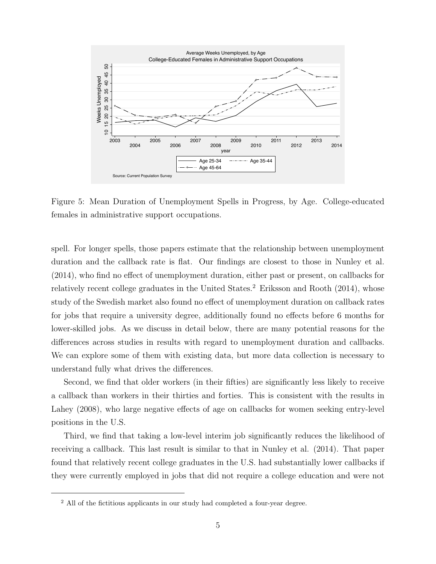

Figure 5: Mean Duration of Unemployment Spells in Progress, by Age. College-educated females in administrative support occupations.

spell. For longer spells, those papers estimate that the relationship between unemployment duration and the callback rate is flat. Our findings are closest to those in Nunley et al. (2014), who find no effect of unemployment duration, either past or present, on callbacks for relatively recent college graduates in the United States.<sup>2</sup> Eriksson and Rooth  $(2014)$ , whose study of the Swedish market also found no effect of unemployment duration on callback rates for jobs that require a university degree, additionally found no effects before 6 months for lower-skilled jobs. As we discuss in detail below, there are many potential reasons for the differences across studies in results with regard to unemployment duration and callbacks. We can explore some of them with existing data, but more data collection is necessary to understand fully what drives the differences.

Second, we find that older workers (in their fifties) are significantly less likely to receive a callback than workers in their thirties and forties. This is consistent with the results in Lahey (2008), who large negative effects of age on callbacks for women seeking entry-level positions in the U.S.

Third, we find that taking a low-level interim job significantly reduces the likelihood of receiving a callback. This last result is similar to that in Nunley et al. (2014). That paper found that relatively recent college graduates in the U.S. had substantially lower callbacks if they were currently employed in jobs that did not require a college education and were not

<sup>&</sup>lt;sup>2</sup> All of the fictitious applicants in our study had completed a four-year degree.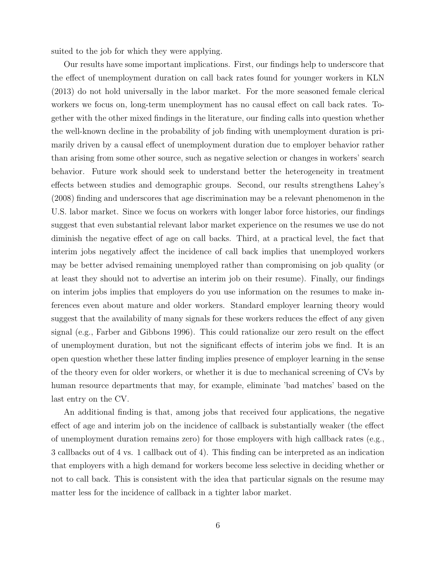suited to the job for which they were applying.

Our results have some important implications. First, our findings help to underscore that the effect of unemployment duration on call back rates found for younger workers in KLN (2013) do not hold universally in the labor market. For the more seasoned female clerical workers we focus on, long-term unemployment has no causal effect on call back rates. Together with the other mixed findings in the literature, our finding calls into question whether the well-known decline in the probability of job finding with unemployment duration is primarily driven by a causal effect of unemployment duration due to employer behavior rather than arising from some other source, such as negative selection or changes in workers' search behavior. Future work should seek to understand better the heterogeneity in treatment effects between studies and demographic groups. Second, our results strengthens Lahey's (2008) finding and underscores that age discrimination may be a relevant phenomenon in the U.S. labor market. Since we focus on workers with longer labor force histories, our findings suggest that even substantial relevant labor market experience on the resumes we use do not diminish the negative effect of age on call backs. Third, at a practical level, the fact that interim jobs negatively affect the incidence of call back implies that unemployed workers may be better advised remaining unemployed rather than compromising on job quality (or at least they should not to advertise an interim job on their resume). Finally, our findings on interim jobs implies that employers do you use information on the resumes to make inferences even about mature and older workers. Standard employer learning theory would suggest that the availability of many signals for these workers reduces the effect of any given signal (e.g., Farber and Gibbons 1996). This could rationalize our zero result on the effect of unemployment duration, but not the significant effects of interim jobs we find. It is an open question whether these latter finding implies presence of employer learning in the sense of the theory even for older workers, or whether it is due to mechanical screening of CVs by human resource departments that may, for example, eliminate 'bad matches' based on the last entry on the CV.

An additional finding is that, among jobs that received four applications, the negative effect of age and interim job on the incidence of callback is substantially weaker (the effect of unemployment duration remains zero) for those employers with high callback rates (e.g., 3 callbacks out of 4 vs. 1 callback out of 4). This finding can be interpreted as an indication that employers with a high demand for workers become less selective in deciding whether or not to call back. This is consistent with the idea that particular signals on the resume may matter less for the incidence of callback in a tighter labor market.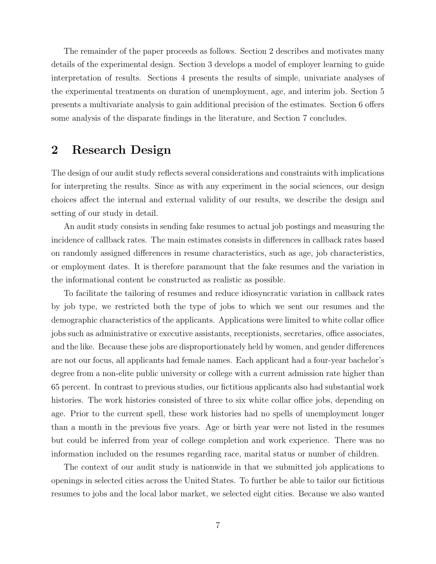The remainder of the paper proceeds as follows. Section 2 describes and motivates many details of the experimental design. Section 3 develops a model of employer learning to guide interpretation of results. Sections 4 presents the results of simple, univariate analyses of the experimental treatments on duration of unemployment, age, and interim job. Section 5 presents a multivariate analysis to gain additional precision of the estimates. Section 6 offers some analysis of the disparate findings in the literature, and Section 7 concludes.

### 2 Research Design

The design of our audit study reflects several considerations and constraints with implications for interpreting the results. Since as with any experiment in the social sciences, our design choices affect the internal and external validity of our results, we describe the design and setting of our study in detail.

An audit study consists in sending fake resumes to actual job postings and measuring the incidence of callback rates. The main estimates consists in differences in callback rates based on randomly assigned differences in resume characteristics, such as age, job characteristics, or employment dates. It is therefore paramount that the fake resumes and the variation in the informational content be constructed as realistic as possible.

To facilitate the tailoring of resumes and reduce idiosyncratic variation in callback rates by job type, we restricted both the type of jobs to which we sent our resumes and the demographic characteristics of the applicants. Applications were limited to white collar office jobs such as administrative or executive assistants, receptionists, secretaries, office associates, and the like. Because these jobs are disproportionately held by women, and gender differences are not our focus, all applicants had female names. Each applicant had a four-year bachelor's degree from a non-elite public university or college with a current admission rate higher than 65 percent. In contrast to previous studies, our fictitious applicants also had substantial work histories. The work histories consisted of three to six white collar office jobs, depending on age. Prior to the current spell, these work histories had no spells of unemployment longer than a month in the previous five years. Age or birth year were not listed in the resumes but could be inferred from year of college completion and work experience. There was no information included on the resumes regarding race, marital status or number of children.

The context of our audit study is nationwide in that we submitted job applications to openings in selected cities across the United States. To further be able to tailor our fictitious resumes to jobs and the local labor market, we selected eight cities. Because we also wanted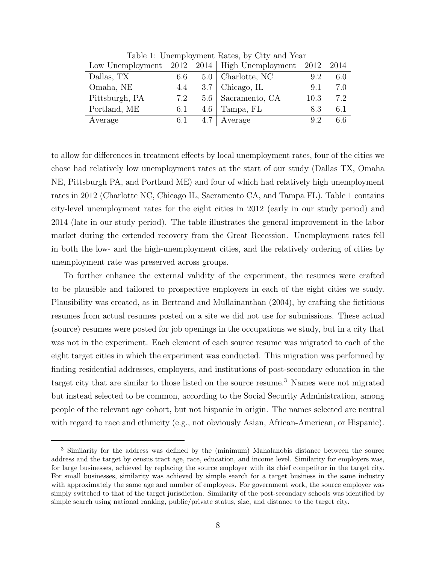|                |     |     | Low Unemployment $2012 \quad 2014$ High Unemployment $2012$ |      | - 2014 |
|----------------|-----|-----|-------------------------------------------------------------|------|--------|
| Dallas, TX     | 6.6 |     | $5.0$   Charlotte, NC                                       | 9.2  | 6.0    |
| Omaha, NE      | 4.4 |     | $3.7$   Chicago, IL                                         | 9.1  | 7.0    |
| Pittsburgh, PA | 7.2 |     | 5.6   Sacramento, CA                                        | 10.3 | 7.2    |
| Portland, ME   | 6.1 |     | $4.6$   Tampa, FL                                           | 8.3  | 6.1    |
| Average        | 6.1 | 4.7 | Average                                                     | 92   | 6.6    |

Table 1: Unemployment Rates, by City and Year

to allow for differences in treatment effects by local unemployment rates, four of the cities we chose had relatively low unemployment rates at the start of our study (Dallas TX, Omaha NE, Pittsburgh PA, and Portland ME) and four of which had relatively high unemployment rates in 2012 (Charlotte NC, Chicago IL, Sacramento CA, and Tampa FL). Table 1 contains city-level unemployment rates for the eight cities in 2012 (early in our study period) and 2014 (late in our study period). The table illustrates the general improvement in the labor market during the extended recovery from the Great Recession. Unemployment rates fell in both the low- and the high-unemployment cities, and the relatively ordering of cities by unemployment rate was preserved across groups.

To further enhance the external validity of the experiment, the resumes were crafted to be plausible and tailored to prospective employers in each of the eight cities we study. Plausibility was created, as in Bertrand and Mullainanthan (2004), by crafting the fictitious resumes from actual resumes posted on a site we did not use for submissions. These actual (source) resumes were posted for job openings in the occupations we study, but in a city that was not in the experiment. Each element of each source resume was migrated to each of the eight target cities in which the experiment was conducted. This migration was performed by finding residential addresses, employers, and institutions of post-secondary education in the target city that are similar to those listed on the source resume.<sup>3</sup> Names were not migrated but instead selected to be common, according to the Social Security Administration, among people of the relevant age cohort, but not hispanic in origin. The names selected are neutral with regard to race and ethnicity (e.g., not obviously Asian, African-American, or Hispanic).

<sup>&</sup>lt;sup>3</sup> Similarity for the address was defined by the (minimum) Mahalanobis distance between the source address and the target by census tract age, race, education, and income level. Similarity for employers was, for large businesses, achieved by replacing the source employer with its chief competitor in the target city. For small businesses, similarity was achieved by simple search for a target business in the same industry with approximately the same age and number of employees. For government work, the source employer was simply switched to that of the target jurisdiction. Similarity of the post-secondary schools was identified by simple search using national ranking, public/private status, size, and distance to the target city.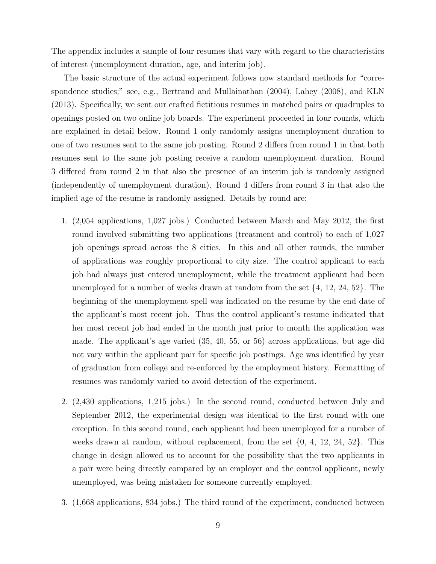The appendix includes a sample of four resumes that vary with regard to the characteristics of interest (unemployment duration, age, and interim job).

The basic structure of the actual experiment follows now standard methods for "correspondence studies;" see, e.g., Bertrand and Mullainathan (2004), Lahey (2008), and KLN (2013). Specifically, we sent our crafted fictitious resumes in matched pairs or quadruples to openings posted on two online job boards. The experiment proceeded in four rounds, which are explained in detail below. Round 1 only randomly assigns unemployment duration to one of two resumes sent to the same job posting. Round 2 differs from round 1 in that both resumes sent to the same job posting receive a random unemployment duration. Round 3 differed from round 2 in that also the presence of an interim job is randomly assigned (independently of unemployment duration). Round 4 differs from round 3 in that also the implied age of the resume is randomly assigned. Details by round are:

- 1. (2,054 applications, 1,027 jobs.) Conducted between March and May 2012, the first round involved submitting two applications (treatment and control) to each of 1,027 job openings spread across the 8 cities. In this and all other rounds, the number of applications was roughly proportional to city size. The control applicant to each job had always just entered unemployment, while the treatment applicant had been unemployed for a number of weeks drawn at random from the set  $\{4, 12, 24, 52\}$ . The beginning of the unemployment spell was indicated on the resume by the end date of the applicant's most recent job. Thus the control applicant's resume indicated that her most recent job had ended in the month just prior to month the application was made. The applicant's age varied (35, 40, 55, or 56) across applications, but age did not vary within the applicant pair for specific job postings. Age was identified by year of graduation from college and re-enforced by the employment history. Formatting of resumes was randomly varied to avoid detection of the experiment.
- 2. (2,430 applications, 1,215 jobs.) In the second round, conducted between July and September 2012, the experimental design was identical to the first round with one exception. In this second round, each applicant had been unemployed for a number of weeks drawn at random, without replacement, from the set  $\{0, 4, 12, 24, 52\}$ . This change in design allowed us to account for the possibility that the two applicants in a pair were being directly compared by an employer and the control applicant, newly unemployed, was being mistaken for someone currently employed.
- 3. (1,668 applications, 834 jobs.) The third round of the experiment, conducted between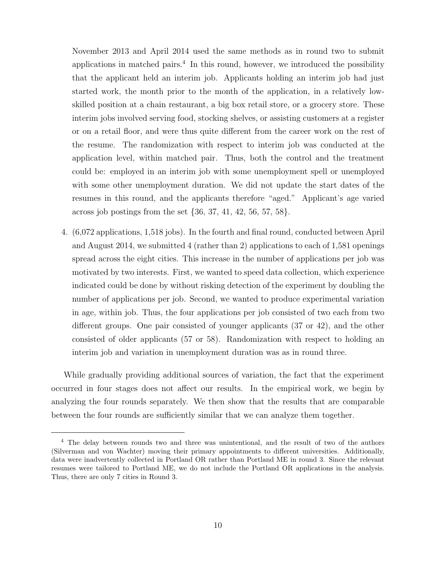November 2013 and April 2014 used the same methods as in round two to submit applications in matched pairs. $4$  In this round, however, we introduced the possibility that the applicant held an interim job. Applicants holding an interim job had just started work, the month prior to the month of the application, in a relatively lowskilled position at a chain restaurant, a big box retail store, or a grocery store. These interim jobs involved serving food, stocking shelves, or assisting customers at a register or on a retail floor, and were thus quite different from the career work on the rest of the resume. The randomization with respect to interim job was conducted at the application level, within matched pair. Thus, both the control and the treatment could be: employed in an interim job with some unemployment spell or unemployed with some other unemployment duration. We did not update the start dates of the resumes in this round, and the applicants therefore "aged." Applicant's age varied across job postings from the set {36, 37, 41, 42, 56, 57, 58}.

4. (6,072 applications, 1,518 jobs). In the fourth and final round, conducted between April and August 2014, we submitted 4 (rather than 2) applications to each of 1,581 openings spread across the eight cities. This increase in the number of applications per job was motivated by two interests. First, we wanted to speed data collection, which experience indicated could be done by without risking detection of the experiment by doubling the number of applications per job. Second, we wanted to produce experimental variation in age, within job. Thus, the four applications per job consisted of two each from two different groups. One pair consisted of younger applicants (37 or 42), and the other consisted of older applicants (57 or 58). Randomization with respect to holding an interim job and variation in unemployment duration was as in round three.

While gradually providing additional sources of variation, the fact that the experiment occurred in four stages does not affect our results. In the empirical work, we begin by analyzing the four rounds separately. We then show that the results that are comparable between the four rounds are sufficiently similar that we can analyze them together.

<sup>&</sup>lt;sup>4</sup> The delay between rounds two and three was unintentional, and the result of two of the authors (Silverman and von Wachter) moving their primary appointments to different universities. Additionally, data were inadvertently collected in Portland OR rather than Portland ME in round 3. Since the relevant resumes were tailored to Portland ME, we do not include the Portland OR applications in the analysis. Thus, there are only 7 cities in Round 3.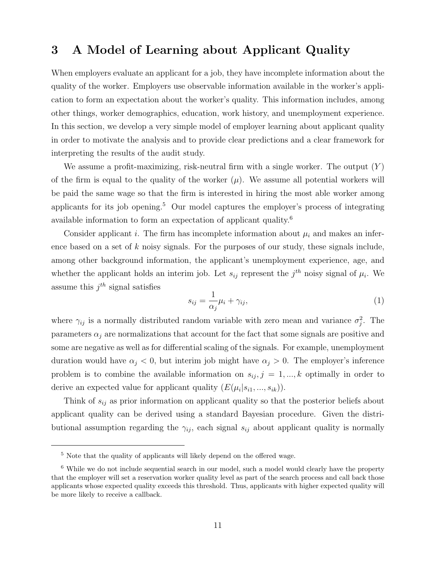### 3 A Model of Learning about Applicant Quality

When employers evaluate an applicant for a job, they have incomplete information about the quality of the worker. Employers use observable information available in the worker's application to form an expectation about the worker's quality. This information includes, among other things, worker demographics, education, work history, and unemployment experience. In this section, we develop a very simple model of employer learning about applicant quality in order to motivate the analysis and to provide clear predictions and a clear framework for interpreting the results of the audit study.

We assume a profit-maximizing, risk-neutral firm with a single worker. The output  $(Y)$ of the firm is equal to the quality of the worker  $(\mu)$ . We assume all potential workers will be paid the same wage so that the firm is interested in hiring the most able worker among applicants for its job opening.<sup>5</sup> Our model captures the employer's process of integrating available information to form an expectation of applicant quality.<sup>6</sup>

Consider applicant i. The firm has incomplete information about  $\mu_i$  and makes an inference based on a set of  $k$  noisy signals. For the purposes of our study, these signals include, among other background information, the applicant's unemployment experience, age, and whether the applicant holds an interim job. Let  $s_{ij}$  represent the  $j^{th}$  noisy signal of  $\mu_i$ . We assume this  $j^{th}$  signal satisfies

$$
s_{ij} = \frac{1}{\alpha_j} \mu_i + \gamma_{ij},\tag{1}
$$

where  $\gamma_{ij}$  is a normally distributed random variable with zero mean and variance  $\sigma_j^2$ . The parameters  $\alpha_i$  are normalizations that account for the fact that some signals are positive and some are negative as well as for differential scaling of the signals. For example, unemployment duration would have  $\alpha_j < 0$ , but interim job might have  $\alpha_j > 0$ . The employer's inference problem is to combine the available information on  $s_{ij}$ ,  $j = 1, ..., k$  optimally in order to derive an expected value for applicant quality  $(E(\mu_i|s_{i1},...,s_{ik}))$ .

Think of  $s_{ij}$  as prior information on applicant quality so that the posterior beliefs about applicant quality can be derived using a standard Bayesian procedure. Given the distributional assumption regarding the  $\gamma_{ij}$ , each signal  $s_{ij}$  about applicant quality is normally

<sup>5</sup> Note that the quality of applicants will likely depend on the offered wage.

<sup>6</sup> While we do not include sequential search in our model, such a model would clearly have the property that the employer will set a reservation worker quality level as part of the search process and call back those applicants whose expected quality exceeds this threshold. Thus, applicants with higher expected quality will be more likely to receive a callback.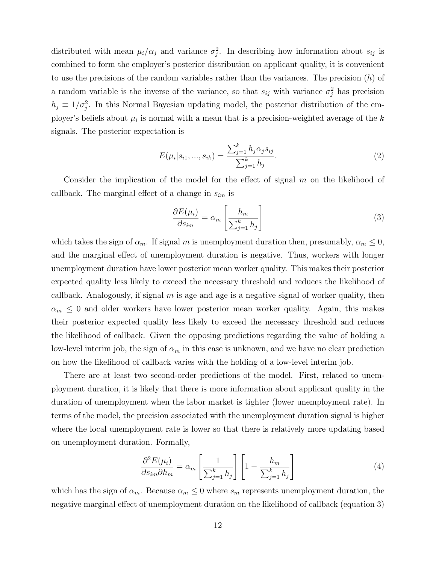distributed with mean  $\mu_i/\alpha_j$  and variance  $\sigma_j^2$ . In describing how information about  $s_{ij}$  is combined to form the employer's posterior distribution on applicant quality, it is convenient to use the precisions of the random variables rather than the variances. The precision  $(h)$  of a random variable is the inverse of the variance, so that  $s_{ij}$  with variance  $\sigma_j^2$  has precision  $h_j \equiv 1/\sigma_j^2$ . In this Normal Bayesian updating model, the posterior distribution of the employer's beliefs about  $\mu_i$  is normal with a mean that is a precision-weighted average of the k signals. The posterior expectation is

$$
E(\mu_i|s_{i1},...,s_{ik}) = \frac{\sum_{j=1}^k h_j \alpha_j s_{ij}}{\sum_{j=1}^k h_j}.
$$
\n(2)

Consider the implication of the model for the effect of signal  $m$  on the likelihood of callback. The marginal effect of a change in  $s_{im}$  is

$$
\frac{\partial E(\mu_i)}{\partial s_{im}} = \alpha_m \left[ \frac{h_m}{\sum_{j=1}^k h_j} \right]
$$
\n(3)

which takes the sign of  $\alpha_m$ . If signal m is unemployment duration then, presumably,  $\alpha_m \leq 0$ , and the marginal effect of unemployment duration is negative. Thus, workers with longer unemployment duration have lower posterior mean worker quality. This makes their posterior expected quality less likely to exceed the necessary threshold and reduces the likelihood of callback. Analogously, if signal  $m$  is age and age is a negative signal of worker quality, then  $\alpha_m \leq 0$  and older workers have lower posterior mean worker quality. Again, this makes their posterior expected quality less likely to exceed the necessary threshold and reduces the likelihood of callback. Given the opposing predictions regarding the value of holding a low-level interim job, the sign of  $\alpha_m$  in this case is unknown, and we have no clear prediction on how the likelihood of callback varies with the holding of a low-level interim job.

There are at least two second-order predictions of the model. First, related to unemployment duration, it is likely that there is more information about applicant quality in the duration of unemployment when the labor market is tighter (lower unemployment rate). In terms of the model, the precision associated with the unemployment duration signal is higher where the local unemployment rate is lower so that there is relatively more updating based on unemployment duration. Formally,

$$
\frac{\partial^2 E(\mu_i)}{\partial s_{im} \partial h_m} = \alpha_m \left[ \frac{1}{\sum_{j=1}^k h_j} \right] \left[ 1 - \frac{h_m}{\sum_{j=1}^k h_j} \right]
$$
(4)

which has the sign of  $\alpha_m$ . Because  $\alpha_m \leq 0$  where  $s_m$  represents unemployment duration, the negative marginal effect of unemployment duration on the likelihood of callback (equation 3)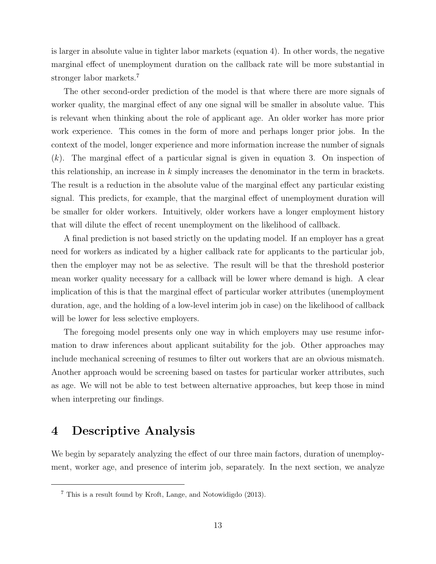is larger in absolute value in tighter labor markets (equation 4). In other words, the negative marginal effect of unemployment duration on the callback rate will be more substantial in stronger labor markets.<sup>7</sup>

The other second-order prediction of the model is that where there are more signals of worker quality, the marginal effect of any one signal will be smaller in absolute value. This is relevant when thinking about the role of applicant age. An older worker has more prior work experience. This comes in the form of more and perhaps longer prior jobs. In the context of the model, longer experience and more information increase the number of signals  $(k)$ . The marginal effect of a particular signal is given in equation 3. On inspection of this relationship, an increase in  $k$  simply increases the denominator in the term in brackets. The result is a reduction in the absolute value of the marginal effect any particular existing signal. This predicts, for example, that the marginal effect of unemployment duration will be smaller for older workers. Intuitively, older workers have a longer employment history that will dilute the effect of recent unemployment on the likelihood of callback.

A final prediction is not based strictly on the updating model. If an employer has a great need for workers as indicated by a higher callback rate for applicants to the particular job, then the employer may not be as selective. The result will be that the threshold posterior mean worker quality necessary for a callback will be lower where demand is high. A clear implication of this is that the marginal effect of particular worker attributes (unemployment duration, age, and the holding of a low-level interim job in case) on the likelihood of callback will be lower for less selective employers.

The foregoing model presents only one way in which employers may use resume information to draw inferences about applicant suitability for the job. Other approaches may include mechanical screening of resumes to filter out workers that are an obvious mismatch. Another approach would be screening based on tastes for particular worker attributes, such as age. We will not be able to test between alternative approaches, but keep those in mind when interpreting our findings.

### 4 Descriptive Analysis

We begin by separately analyzing the effect of our three main factors, duration of unemployment, worker age, and presence of interim job, separately. In the next section, we analyze

<sup>7</sup> This is a result found by Kroft, Lange, and Notowidigdo (2013).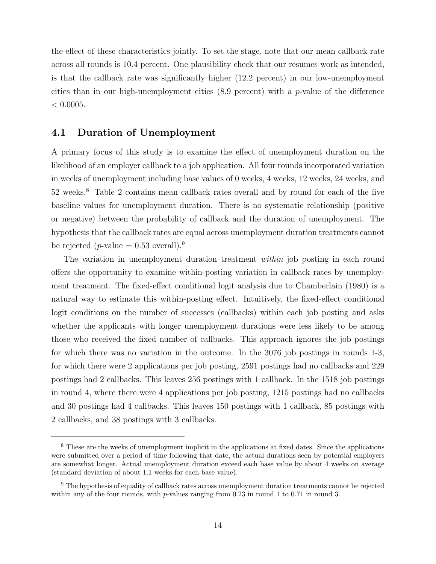the effect of these characteristics jointly. To set the stage, note that our mean callback rate across all rounds is 10.4 percent. One plausibility check that our resumes work as intended, is that the callback rate was significantly higher (12.2 percent) in our low-unemployment cities than in our high-unemployment cities  $(8.9 \text{ percent})$  with a p-value of the difference  $< 0.0005$ .

#### 4.1 Duration of Unemployment

A primary focus of this study is to examine the effect of unemployment duration on the likelihood of an employer callback to a job application. All four rounds incorporated variation in weeks of unemployment including base values of 0 weeks, 4 weeks, 12 weeks, 24 weeks, and 52 weeks.<sup>8</sup> Table 2 contains mean callback rates overall and by round for each of the five baseline values for unemployment duration. There is no systematic relationship (positive or negative) between the probability of callback and the duration of unemployment. The hypothesis that the callback rates are equal across unemployment duration treatments cannot be rejected (*p*-value  $= 0.53$  overall).<sup>9</sup>

The variation in unemployment duration treatment *within* job posting in each round offers the opportunity to examine within-posting variation in callback rates by unemployment treatment. The fixed-effect conditional logit analysis due to Chamberlain (1980) is a natural way to estimate this within-posting effect. Intuitively, the fixed-effect conditional logit conditions on the number of successes (callbacks) within each job posting and asks whether the applicants with longer unemployment durations were less likely to be among those who received the fixed number of callbacks. This approach ignores the job postings for which there was no variation in the outcome. In the 3076 job postings in rounds 1-3, for which there were 2 applications per job posting, 2591 postings had no callbacks and 229 postings had 2 callbacks. This leaves 256 postings with 1 callback. In the 1518 job postings in round 4, where there were 4 applications per job posting, 1215 postings had no callbacks and 30 postings had 4 callbacks. This leaves 150 postings with 1 callback, 85 postings with 2 callbacks, and 38 postings with 3 callbacks.

<sup>8</sup> These are the weeks of unemployment implicit in the applications at fixed dates. Since the applications were submitted over a period of time following that date, the actual durations seen by potential employers are somewhat longer. Actual unemployment duration exceed each base value by about 4 weeks on average (standard deviation of about 1.1 weeks for each base value).

<sup>&</sup>lt;sup>9</sup> The hypothesis of equality of callback rates across unemployment duration treatments cannot be rejected within any of the four rounds, with p-values ranging from  $0.23$  in round 1 to 0.71 in round 3.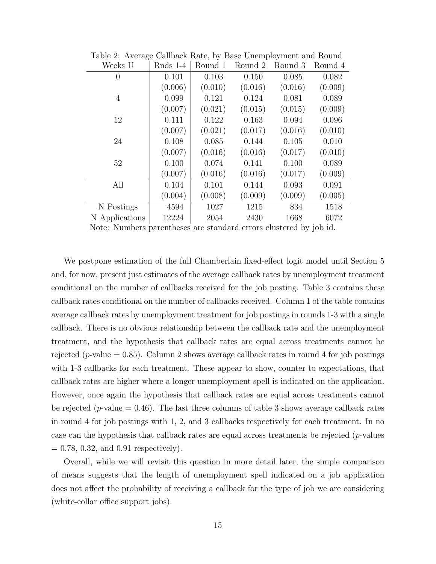| Weeks U        | Rnds 1-4                                                          | Round 1 | Round 2 | Round 3 | Round 4 |  |
|----------------|-------------------------------------------------------------------|---------|---------|---------|---------|--|
| $\overline{0}$ | 0.101                                                             | 0.103   | 0.150   | 0.085   | 0.082   |  |
|                | (0.006)                                                           | (0.010) | (0.016) | (0.016) | (0.009) |  |
| $\overline{4}$ | 0.099                                                             | 0.121   | 0.124   | 0.081   | 0.089   |  |
|                | (0.007)                                                           | (0.021) | (0.015) | (0.015) | (0.009) |  |
| 12             | 0.111                                                             | 0.122   | 0.163   | 0.094   | 0.096   |  |
|                | (0.007)                                                           | (0.021) | (0.017) | (0.016) | (0.010) |  |
| 24             | 0.108                                                             | 0.085   | 0.144   | 0.105   | 0.010   |  |
|                | (0.007)                                                           | (0.016) | (0.016) | (0.017) | (0.010) |  |
| 52             | 0.100                                                             | 0.074   | 0.141   | 0.100   | 0.089   |  |
|                | (0.007)                                                           | (0.016) | (0.016) | (0.017) | (0.009) |  |
| All            | 0.104                                                             | 0.101   | 0.144   | 0.093   | 0.091   |  |
|                | (0.004)                                                           | (0.008) | (0.009) | (0.009) | (0.005) |  |
| N Postings     | 4594                                                              | 1027    | 1215    | 834     | 1518    |  |
| N Applications | 12224                                                             | 2054    | 2430    | 1668    | 6072    |  |
|                | Nota: Numbers percriticses are standard emers clustered by ich id |         |         |         |         |  |

Table 2: Average Callback Rate, by Base Unemployment and Round

Note: Numbers parentheses are standard errors clustered by job id.

We postpone estimation of the full Chamberlain fixed-effect logit model until Section 5 and, for now, present just estimates of the average callback rates by unemployment treatment conditional on the number of callbacks received for the job posting. Table 3 contains these callback rates conditional on the number of callbacks received. Column 1 of the table contains average callback rates by unemployment treatment for job postings in rounds 1-3 with a single callback. There is no obvious relationship between the callback rate and the unemployment treatment, and the hypothesis that callback rates are equal across treatments cannot be rejected (*p*-value  $= 0.85$ ). Column 2 shows average callback rates in round 4 for job postings with 1-3 callbacks for each treatment. These appear to show, counter to expectations, that callback rates are higher where a longer unemployment spell is indicated on the application. However, once again the hypothesis that callback rates are equal across treatments cannot be rejected (*p*-value  $= 0.46$ ). The last three columns of table 3 shows average callback rates in round 4 for job postings with 1, 2, and 3 callbacks respectively for each treatment. In no case can the hypothesis that callback rates are equal across treatments be rejected  $(p$ -values  $= 0.78, 0.32,$  and 0.91 respectively).

Overall, while we will revisit this question in more detail later, the simple comparison of means suggests that the length of unemployment spell indicated on a job application does not affect the probability of receiving a callback for the type of job we are considering (white-collar office support jobs).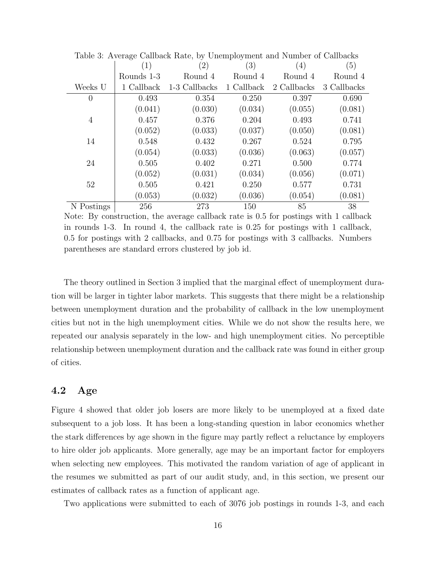|                | (1)        | (2)           | (3)        | (4)         | (5)         |
|----------------|------------|---------------|------------|-------------|-------------|
|                | Rounds 1-3 | Round 4       | Round 4    | Round 4     | Round 4     |
| Weeks U        | 1 Callback | 1-3 Callbacks | 1 Callback | 2 Callbacks | 3 Callbacks |
| $\overline{0}$ | 0.493      | 0.354         | 0.250      | 0.397       | 0.690       |
|                | (0.041)    | (0.030)       | (0.034)    | (0.055)     | (0.081)     |
| $\overline{4}$ | 0.457      | 0.376         | 0.204      | 0.493       | 0.741       |
|                | (0.052)    | (0.033)       | (0.037)    | (0.050)     | (0.081)     |
| 14             | 0.548      | 0.432         | 0.267      | 0.524       | 0.795       |
|                | (0.054)    | (0.033)       | (0.036)    | (0.063)     | (0.057)     |
| 24             | 0.505      | 0.402         | 0.271      | 0.500       | 0.774       |
|                | (0.052)    | (0.031)       | (0.034)    | (0.056)     | (0.071)     |
| 52             | 0.505      | 0.421         | 0.250      | 0.577       | 0.731       |
|                | (0.053)    | (0.032)       | (0.036)    | (0.054)     | (0.081)     |
| N Postings     | 256        | 273           | 150        | 85          | 38          |

Table 3: Average Callback Rate, by Unemployment and Number of Callbacks

Note: By construction, the average callback rate is 0.5 for postings with 1 callback in rounds 1-3. In round 4, the callback rate is 0.25 for postings with 1 callback, 0.5 for postings with 2 callbacks, and 0.75 for postings with 3 callbacks. Numbers parentheses are standard errors clustered by job id.

The theory outlined in Section 3 implied that the marginal effect of unemployment duration will be larger in tighter labor markets. This suggests that there might be a relationship between unemployment duration and the probability of callback in the low unemployment cities but not in the high unemployment cities. While we do not show the results here, we repeated our analysis separately in the low- and high unemployment cities. No perceptible relationship between unemployment duration and the callback rate was found in either group of cities.

#### 4.2 Age

Figure 4 showed that older job losers are more likely to be unemployed at a fixed date subsequent to a job loss. It has been a long-standing question in labor economics whether the stark differences by age shown in the figure may partly reflect a reluctance by employers to hire older job applicants. More generally, age may be an important factor for employers when selecting new employees. This motivated the random variation of age of applicant in the resumes we submitted as part of our audit study, and, in this section, we present our estimates of callback rates as a function of applicant age.

Two applications were submitted to each of 3076 job postings in rounds 1-3, and each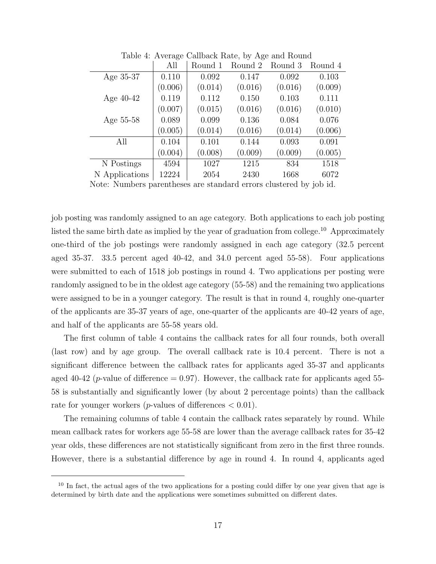|         |                                                                 |                                                                     |                                                                     | Round 4                                                             |
|---------|-----------------------------------------------------------------|---------------------------------------------------------------------|---------------------------------------------------------------------|---------------------------------------------------------------------|
|         |                                                                 |                                                                     |                                                                     | 0.103                                                               |
|         |                                                                 |                                                                     |                                                                     | (0.009)                                                             |
|         |                                                                 |                                                                     |                                                                     | 0.111                                                               |
|         |                                                                 |                                                                     |                                                                     |                                                                     |
|         |                                                                 |                                                                     |                                                                     | (0.010)                                                             |
|         |                                                                 |                                                                     |                                                                     | 0.076                                                               |
|         |                                                                 |                                                                     |                                                                     | (0.006)                                                             |
| 0.104   | 0.101                                                           | 0.144                                                               | 0.093                                                               | 0.091                                                               |
| (0.004) | (0.008)                                                         | (0.009)                                                             | (0.009)                                                             | (0.005)                                                             |
| 4594    | 1027                                                            | 1215                                                                | 834                                                                 | 1518                                                                |
| 12224   | 2054                                                            | 2430                                                                | 1668                                                                | 6072                                                                |
|         | All<br>0.110<br>(0.006)<br>0.119<br>(0.007)<br>0.089<br>(0.005) | Round 1<br>0.092<br>(0.014)<br>0.112<br>(0.015)<br>0.099<br>(0.014) | Round 2<br>0.147<br>(0.016)<br>0.150<br>(0.016)<br>0.136<br>(0.016) | Round 3<br>0.092<br>(0.016)<br>0.103<br>(0.016)<br>0.084<br>(0.014) |

Table 4: Average Callback Rate, by Age and Round

Note: Numbers parentheses are standard errors clustered by job id.

job posting was randomly assigned to an age category. Both applications to each job posting listed the same birth date as implied by the year of graduation from college.<sup>10</sup> Approximately one-third of the job postings were randomly assigned in each age category (32.5 percent aged 35-37. 33.5 percent aged 40-42, and 34.0 percent aged 55-58). Four applications were submitted to each of 1518 job postings in round 4. Two applications per posting were randomly assigned to be in the oldest age category (55-58) and the remaining two applications were assigned to be in a younger category. The result is that in round 4, roughly one-quarter of the applicants are 35-37 years of age, one-quarter of the applicants are 40-42 years of age, and half of the applicants are 55-58 years old.

The first column of table 4 contains the callback rates for all four rounds, both overall (last row) and by age group. The overall callback rate is 10.4 percent. There is not a significant difference between the callback rates for applicants aged 35-37 and applicants aged 40-42 (*p*-value of difference  $= 0.97$ ). However, the callback rate for applicants aged 55-58 is substantially and significantly lower (by about 2 percentage points) than the callback rate for younger workers (*p*-values of differences  $< 0.01$ ).

The remaining columns of table 4 contain the callback rates separately by round. While mean callback rates for workers age 55-58 are lower than the average callback rates for 35-42 year olds, these differences are not statistically significant from zero in the first three rounds. However, there is a substantial difference by age in round 4. In round 4, applicants aged

<sup>&</sup>lt;sup>10</sup> In fact, the actual ages of the two applications for a posting could differ by one year given that age is determined by birth date and the applications were sometimes submitted on different dates.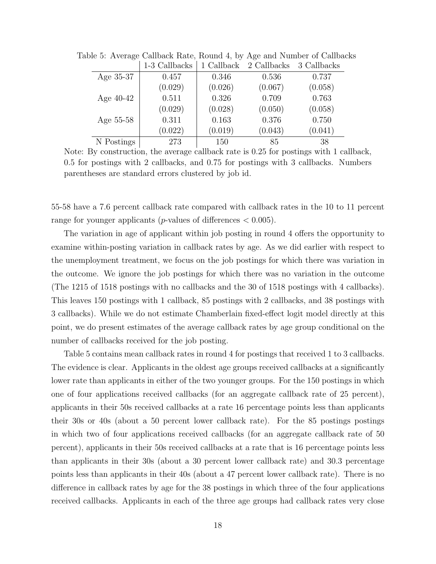|             | 1-3 Callbacks | 1 Callback | 2 Callbacks | 3 Callbacks |
|-------------|---------------|------------|-------------|-------------|
| Age 35-37   | 0.457         | 0.346      | 0.536       | 0.737       |
|             | (0.029)       | (0.026)    | (0.067)     | (0.058)     |
| Age $40-42$ | 0.511         | 0.326      | 0.709       | 0.763       |
|             | (0.029)       | (0.028)    | (0.050)     | (0.058)     |
| Age 55-58   | 0.311         | 0.163      | 0.376       | 0.750       |
|             | (0.022)       | (0.019)    | (0.043)     | (0.041)     |
| N Postings  | 273           | 150        | 85          | 38          |

Table 5: Average Callback Rate, Round 4, by Age and Number of Callbacks

Note: By construction, the average callback rate is 0.25 for postings with 1 callback, 0.5 for postings with 2 callbacks, and 0.75 for postings with 3 callbacks. Numbers parentheses are standard errors clustered by job id.

55-58 have a 7.6 percent callback rate compared with callback rates in the 10 to 11 percent range for younger applicants (*p*-values of differences  $< 0.005$ ).

The variation in age of applicant within job posting in round 4 offers the opportunity to examine within-posting variation in callback rates by age. As we did earlier with respect to the unemployment treatment, we focus on the job postings for which there was variation in the outcome. We ignore the job postings for which there was no variation in the outcome (The 1215 of 1518 postings with no callbacks and the 30 of 1518 postings with 4 callbacks). This leaves 150 postings with 1 callback, 85 postings with 2 callbacks, and 38 postings with 3 callbacks). While we do not estimate Chamberlain fixed-effect logit model directly at this point, we do present estimates of the average callback rates by age group conditional on the number of callbacks received for the job posting.

Table 5 contains mean callback rates in round 4 for postings that received 1 to 3 callbacks. The evidence is clear. Applicants in the oldest age groups received callbacks at a significantly lower rate than applicants in either of the two younger groups. For the 150 postings in which one of four applications received callbacks (for an aggregate callback rate of 25 percent), applicants in their 50s received callbacks at a rate 16 percentage points less than applicants their 30s or 40s (about a 50 percent lower callback rate). For the 85 postings postings in which two of four applications received callbacks (for an aggregate callback rate of 50 percent), applicants in their 50s received callbacks at a rate that is 16 percentage points less than applicants in their 30s (about a 30 percent lower callback rate) and 30.3 percentage points less than applicants in their 40s (about a 47 percent lower callback rate). There is no difference in callback rates by age for the 38 postings in which three of the four applications received callbacks. Applicants in each of the three age groups had callback rates very close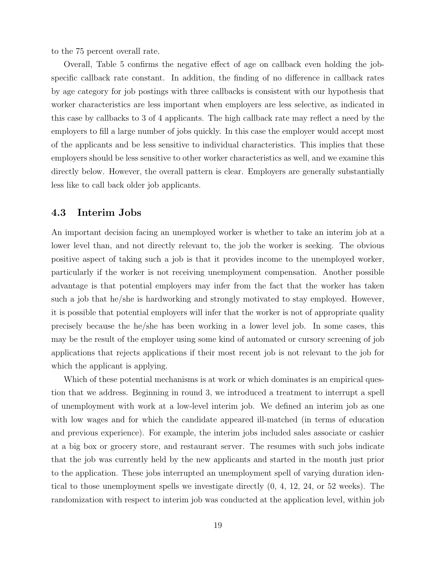to the 75 percent overall rate.

Overall, Table 5 confirms the negative effect of age on callback even holding the jobspecific callback rate constant. In addition, the finding of no difference in callback rates by age category for job postings with three callbacks is consistent with our hypothesis that worker characteristics are less important when employers are less selective, as indicated in this case by callbacks to 3 of 4 applicants. The high callback rate may reflect a need by the employers to fill a large number of jobs quickly. In this case the employer would accept most of the applicants and be less sensitive to individual characteristics. This implies that these employers should be less sensitive to other worker characteristics as well, and we examine this directly below. However, the overall pattern is clear. Employers are generally substantially less like to call back older job applicants.

#### 4.3 Interim Jobs

An important decision facing an unemployed worker is whether to take an interim job at a lower level than, and not directly relevant to, the job the worker is seeking. The obvious positive aspect of taking such a job is that it provides income to the unemployed worker, particularly if the worker is not receiving unemployment compensation. Another possible advantage is that potential employers may infer from the fact that the worker has taken such a job that he/she is hardworking and strongly motivated to stay employed. However, it is possible that potential employers will infer that the worker is not of appropriate quality precisely because the he/she has been working in a lower level job. In some cases, this may be the result of the employer using some kind of automated or cursory screening of job applications that rejects applications if their most recent job is not relevant to the job for which the applicant is applying.

Which of these potential mechanisms is at work or which dominates is an empirical question that we address. Beginning in round 3, we introduced a treatment to interrupt a spell of unemployment with work at a low-level interim job. We defined an interim job as one with low wages and for which the candidate appeared ill-matched (in terms of education and previous experience). For example, the interim jobs included sales associate or cashier at a big box or grocery store, and restaurant server. The resumes with such jobs indicate that the job was currently held by the new applicants and started in the month just prior to the application. These jobs interrupted an unemployment spell of varying duration identical to those unemployment spells we investigate directly (0, 4, 12, 24, or 52 weeks). The randomization with respect to interim job was conducted at the application level, within job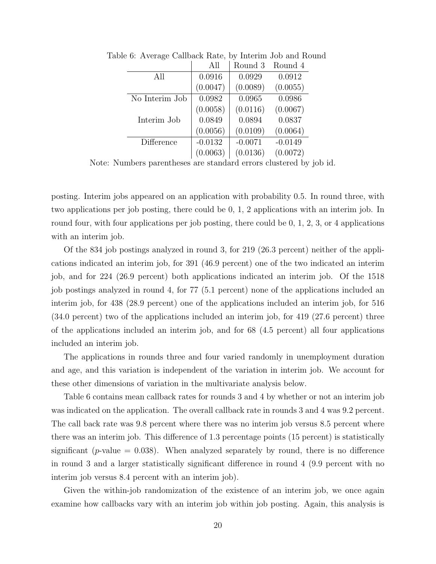|                | All       | Round 3   | Round 4   |
|----------------|-----------|-----------|-----------|
| All            | 0.0916    | 0.0929    | 0.0912    |
|                | (0.0047)  | (0.0089)  | (0.0055)  |
| No Interim Job | 0.0982    | 0.0965    | 0.0986    |
|                | (0.0058)  | (0.0116)  | (0.0067)  |
| Interim Job    | 0.0849    | 0.0894    | 0.0837    |
|                | (0.0056)  | (0.0109)  | (0.0064)  |
| Difference     | $-0.0132$ | $-0.0071$ | $-0.0149$ |
|                | (0.0063)  | (0.0136)  | (0.0072)  |

Table 6: Average Callback Rate, by Interim Job and Round

Note: Numbers parentheses are standard errors clustered by job id.

posting. Interim jobs appeared on an application with probability 0.5. In round three, with two applications per job posting, there could be 0, 1, 2 applications with an interim job. In round four, with four applications per job posting, there could be 0, 1, 2, 3, or 4 applications with an interim job.

Of the 834 job postings analyzed in round 3, for 219 (26.3 percent) neither of the applications indicated an interim job, for 391 (46.9 percent) one of the two indicated an interim job, and for 224 (26.9 percent) both applications indicated an interim job. Of the 1518 job postings analyzed in round 4, for 77 (5.1 percent) none of the applications included an interim job, for 438 (28.9 percent) one of the applications included an interim job, for 516 (34.0 percent) two of the applications included an interim job, for 419 (27.6 percent) three of the applications included an interim job, and for 68 (4.5 percent) all four applications included an interim job.

The applications in rounds three and four varied randomly in unemployment duration and age, and this variation is independent of the variation in interim job. We account for these other dimensions of variation in the multivariate analysis below.

Table 6 contains mean callback rates for rounds 3 and 4 by whether or not an interim job was indicated on the application. The overall callback rate in rounds 3 and 4 was 9.2 percent. The call back rate was 9.8 percent where there was no interim job versus 8.5 percent where there was an interim job. This difference of 1.3 percentage points (15 percent) is statistically significant (*p*-value  $= 0.038$ ). When analyzed separately by round, there is no difference in round 3 and a larger statistically significant difference in round 4 (9.9 percent with no interim job versus 8.4 percent with an interim job).

Given the within-job randomization of the existence of an interim job, we once again examine how callbacks vary with an interim job within job posting. Again, this analysis is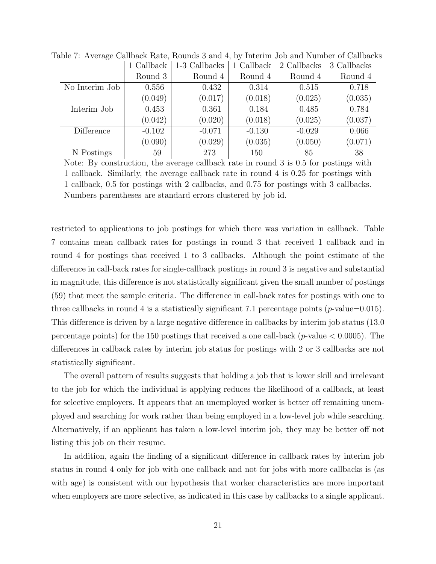|                | 1 Callback | 1-3 Callbacks | 1 Callback | 2 Callbacks | 3 Callbacks |
|----------------|------------|---------------|------------|-------------|-------------|
|                | Round 3    | Round 4       | Round 4    | Round 4     | Round 4     |
| No Interim Job | 0.556      | 0.432         | 0.314      | 0.515       | 0.718       |
|                | (0.049)    | (0.017)       | (0.018)    | (0.025)     | (0.035)     |
| Interim Job    | 0.453      | 0.361         | 0.184      | 0.485       | 0.784       |
|                | (0.042)    | (0.020)       | (0.018)    | (0.025)     | (0.037)     |
| Difference     | $-0.102$   | $-0.071$      | $-0.130$   | $-0.029$    | 0.066       |
|                | (0.090)    | (0.029)       | (0.035)    | (0.050)     | (0.071)     |
| N Postings     | 59         | 273           | 150        | 85          | 38          |

Table 7: Average Callback Rate, Rounds 3 and 4, by Interim Job and Number of Callbacks

Note: By construction, the average callback rate in round 3 is 0.5 for postings with 1 callback. Similarly, the average callback rate in round 4 is 0.25 for postings with 1 callback, 0.5 for postings with 2 callbacks, and 0.75 for postings with 3 callbacks. Numbers parentheses are standard errors clustered by job id.

restricted to applications to job postings for which there was variation in callback. Table 7 contains mean callback rates for postings in round 3 that received 1 callback and in round 4 for postings that received 1 to 3 callbacks. Although the point estimate of the difference in call-back rates for single-callback postings in round 3 is negative and substantial in magnitude, this difference is not statistically significant given the small number of postings (59) that meet the sample criteria. The difference in call-back rates for postings with one to three callbacks in round 4 is a statistically significant 7.1 percentage points ( $p$ -value=0.015). This difference is driven by a large negative difference in callbacks by interim job status (13.0 percentage points) for the 150 postings that received a one call-back ( $p$ -value  $< 0.0005$ ). The differences in callback rates by interim job status for postings with 2 or 3 callbacks are not statistically significant.

The overall pattern of results suggests that holding a job that is lower skill and irrelevant to the job for which the individual is applying reduces the likelihood of a callback, at least for selective employers. It appears that an unemployed worker is better off remaining unemployed and searching for work rather than being employed in a low-level job while searching. Alternatively, if an applicant has taken a low-level interim job, they may be better off not listing this job on their resume.

In addition, again the finding of a significant difference in callback rates by interim job status in round 4 only for job with one callback and not for jobs with more callbacks is (as with age) is consistent with our hypothesis that worker characteristics are more important when employers are more selective, as indicated in this case by callbacks to a single applicant.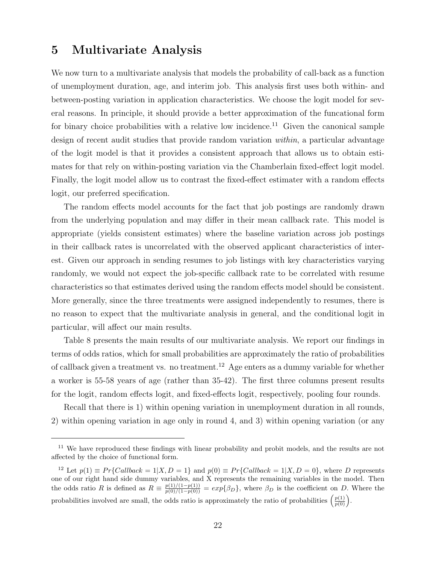### 5 Multivariate Analysis

We now turn to a multivariate analysis that models the probability of call-back as a function of unemployment duration, age, and interim job. This analysis first uses both within- and between-posting variation in application characteristics. We choose the logit model for several reasons. In principle, it should provide a better approximation of the funcational form for binary choice probabilities with a relative low incidence.<sup>11</sup> Given the canonical sample design of recent audit studies that provide random variation within, a particular advantage of the logit model is that it provides a consistent approach that allows us to obtain estimates for that rely on within-posting variation via the Chamberlain fixed-effect logit model. Finally, the logit model allow us to contrast the fixed-effect estimater with a random effects logit, our preferred specification.

The random effects model accounts for the fact that job postings are randomly drawn from the underlying population and may differ in their mean callback rate. This model is appropriate (yields consistent estimates) where the baseline variation across job postings in their callback rates is uncorrelated with the observed applicant characteristics of interest. Given our approach in sending resumes to job listings with key characteristics varying randomly, we would not expect the job-specific callback rate to be correlated with resume characteristics so that estimates derived using the random effects model should be consistent. More generally, since the three treatments were assigned independently to resumes, there is no reason to expect that the multivariate analysis in general, and the conditional logit in particular, will affect our main results.

Table 8 presents the main results of our multivariate analysis. We report our findings in terms of odds ratios, which for small probabilities are approximately the ratio of probabilities of callback given a treatment vs. no treatment.<sup>12</sup> Age enters as a dummy variable for whether a worker is 55-58 years of age (rather than 35-42). The first three columns present results for the logit, random effects logit, and fixed-effects logit, respectively, pooling four rounds.

Recall that there is 1) within opening variation in unemployment duration in all rounds, 2) within opening variation in age only in round 4, and 3) within opening variation (or any

<sup>&</sup>lt;sup>11</sup> We have reproduced these findings with linear probability and probit models, and the results are not affected by the choice of functional form.

<sup>&</sup>lt;sup>12</sup> Let  $p(1) \equiv Pr\{Callback = 1|X, D = 1\}$  and  $p(0) \equiv Pr\{Callback = 1|X, D = 0\}$ , where D represents one of our right hand side dummy variables, and X represents the remaining variables in the model. Then the odds ratio R is defined as  $R = \frac{p(1)/(1-p(1))}{p(0)/(1-p(0))} = exp{\{\beta_D\}}$ , where  $\beta_D$  is the coefficient on D. Where the probabilities involved are small, the odds ratio is approximately the ratio of probabilities  $\left(\frac{p(1)}{p(0)}\right)$ .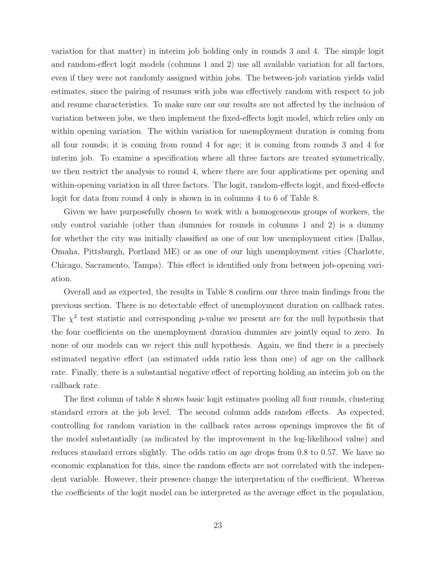variation for that matter) in interim job holding only in rounds 3 and 4. The simple logit and random-effect logit models (columns 1 and 2) use all available variation for all factors, even if they were not randomly assigned within jobs. The between-job variation yields valid estimates, since the pairing of resumes with jobs was effectively random with respect to job and resume characteristics. To make sure our our results are not affected by the inclusion of variation between jobs, we then implement the fixed-effects logit model, which relies only on within opening variation. The within variation for unemployment duration is coming from all four rounds; it is coming from round 4 for age; it is coming from rounds 3 and 4 for interim job. To examine a specification where all three factors are treated symmetrically, we then restrict the analysis to round 4, where there are four applications per opening and within-opening variation in all three factors. The logit, random-effects logit, and fixed-effects logit for data from round 4 only is shown in in columns 4 to 6 of Table 8.

Given we have purposefully chosen to work with a homogeneous groups of workers, the only control variable (other than dummies for rounds in columns 1 and 2) is a dummy for whether the city was initially classified as one of our low unemployment cities (Dallas, Omaha, Pittsburgh, Portland ME) or as one of our high unemployment cities (Charlotte, Chicago, Sacramento, Tampa). This effect is identified only from between job-opening variation.

Overall and as expected, the results in Table 8 confirm our three main findings from the previous section. There is no detectable effect of unemployment duration on callback rates. The  $\chi^2$  test statistic and corresponding p-value we present are for the null hypothesis that the four coefficients on the unemployment duration dummies are jointly equal to zero. In none of our models can we reject this null hypothesis. Again, we find there is a precisely estimated negative effect (an estimated odds ratio less than one) of age on the callback rate. Finally, there is a substantial negative effect of reporting holding an interim job on the callback rate.

The first column of table 8 shows basic logit estimates pooling all four rounds, clustering standard errors at the job level. The second column adds random effects. As expected, controlling for random variation in the callback rates across openings improves the fit of the model substantially (as indicated by the improvement in the log-likelihood value) and reduces standard errors slightly. The odds ratio on age drops from 0.8 to 0.57. We have no economic explanation for this, since the random effects are not correlated with the independent variable. However, their presence change the interpretation of the coefficient. Whereas the coefficients of the logit model can be interpreted as the average effect in the population,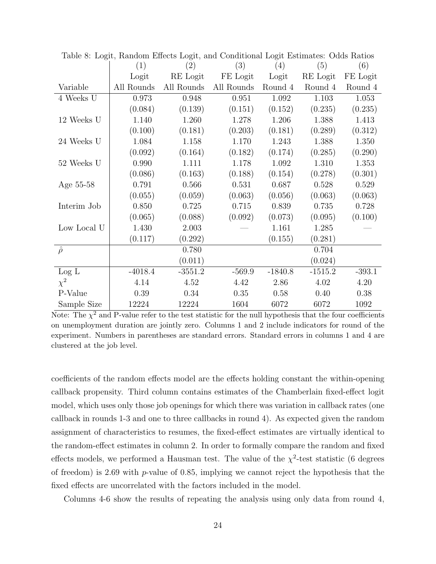|                    | Table 0. Logic, Random Encers Logic, and Conditional Logic Louinaces. Outs Ratios |            |            |           |           |          |
|--------------------|-----------------------------------------------------------------------------------|------------|------------|-----------|-----------|----------|
|                    | (1)                                                                               | (2)        | (3)        | (4)       | (5)       | (6)      |
|                    | Logit                                                                             | RE Logit   | FE Logit   | Logit     | RE Logit  | FE Logit |
| Variable           | All Rounds                                                                        | All Rounds | All Rounds | Round 4   | Round 4   | Round 4  |
| 4 Weeks U          | 0.973                                                                             | 0.948      | 0.951      | 1.092     | 1.103     | 1.053    |
|                    | (0.084)                                                                           | (0.139)    | (0.151)    | (0.152)   | (0.235)   | (0.235)  |
| 12 Weeks U         | 1.140                                                                             | 1.260      | 1.278      | 1.206     | 1.388     | 1.413    |
|                    | (0.100)                                                                           | (0.181)    | (0.203)    | (0.181)   | (0.289)   | (0.312)  |
| $24$ Weeks $\rm U$ | 1.084                                                                             | 1.158      | 1.170      | 1.243     | 1.388     | 1.350    |
|                    | (0.092)                                                                           | (0.164)    | (0.182)    | (0.174)   | (0.285)   | (0.290)  |
| $52$ Weeks $\rm U$ | 0.990                                                                             | 1.111      | 1.178      | 1.092     | 1.310     | 1.353    |
|                    | (0.086)                                                                           | (0.163)    | (0.188)    | (0.154)   | (0.278)   | (0.301)  |
| Age 55-58          | 0.791                                                                             | 0.566      | 0.531      | 0.687     | 0.528     | 0.529    |
|                    | (0.055)                                                                           | (0.059)    | (0.063)    | (0.056)   | (0.063)   | (0.063)  |
| Interim Job        | 0.850                                                                             | 0.725      | 0.715      | 0.839     | 0.735     | 0.728    |
|                    | (0.065)                                                                           | (0.088)    | (0.092)    | (0.073)   | (0.095)   | (0.100)  |
| Low Local U        | 1.430                                                                             | 2.003      |            | 1.161     | 1.285     |          |
|                    | (0.117)                                                                           | (0.292)    |            | (0.155)   | (0.281)   |          |
| $\hat{\rho}$       |                                                                                   | 0.780      |            |           | 0.704     |          |
|                    |                                                                                   | (0.011)    |            |           | (0.024)   |          |
| Log L              | $-4018.4$                                                                         | $-3551.2$  | $-569.9$   | $-1840.8$ | $-1515.2$ | $-393.1$ |
| $\chi^2$           | 4.14                                                                              | 4.52       | 4.42       | 2.86      | 4.02      | 4.20     |
| P-Value            | 0.39                                                                              | 0.34       | 0.35       | 0.58      | 0.40      | 0.38     |
| Sample Size        | 12224                                                                             | 12224      | 1604       | 6072      | 6072      | 1092     |

Table 8: Logit, Random Effects Logit, and Conditional Logit Estimates: Odds Ratios

Note: The  $\chi^2$  and P-value refer to the test statistic for the null hypothesis that the four coefficients on unemployment duration are jointly zero. Columns 1 and 2 include indicators for round of the experiment. Numbers in parentheses are standard errors. Standard errors in columns 1 and 4 are clustered at the job level.

coefficients of the random effects model are the effects holding constant the within-opening callback propensity. Third column contains estimates of the Chamberlain fixed-effect logit model, which uses only those job openings for which there was variation in callback rates (one callback in rounds 1-3 and one to three callbacks in round 4). As expected given the random assignment of characteristics to resumes, the fixed-effect estimates are virtually identical to the random-effect estimates in column 2. In order to formally compare the random and fixed effects models, we performed a Hausman test. The value of the  $\chi^2$ -test statistic (6 degrees of freedom) is 2.69 with p-value of 0.85, implying we cannot reject the hypothesis that the fixed effects are uncorrelated with the factors included in the model.

Columns 4-6 show the results of repeating the analysis using only data from round 4,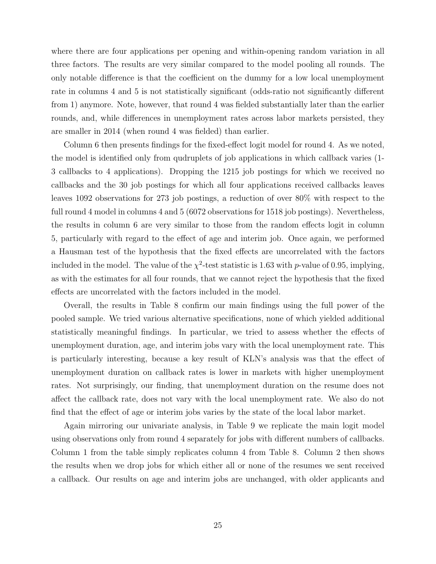where there are four applications per opening and within-opening random variation in all three factors. The results are very similar compared to the model pooling all rounds. The only notable difference is that the coefficient on the dummy for a low local unemployment rate in columns 4 and 5 is not statistically significant (odds-ratio not significantly different from 1) anymore. Note, however, that round 4 was fielded substantially later than the earlier rounds, and, while differences in unemployment rates across labor markets persisted, they are smaller in 2014 (when round 4 was fielded) than earlier.

Column 6 then presents findings for the fixed-effect logit model for round 4. As we noted, the model is identified only from qudruplets of job applications in which callback varies (1- 3 callbacks to 4 applications). Dropping the 1215 job postings for which we received no callbacks and the 30 job postings for which all four applications received callbacks leaves leaves 1092 observations for 273 job postings, a reduction of over 80% with respect to the full round 4 model in columns 4 and 5 (6072 observations for 1518 job postings). Nevertheless, the results in column 6 are very similar to those from the random effects logit in column 5, particularly with regard to the effect of age and interim job. Once again, we performed a Hausman test of the hypothesis that the fixed effects are uncorrelated with the factors included in the model. The value of the  $\chi^2$ -test statistic is 1.63 with p-value of 0.95, implying, as with the estimates for all four rounds, that we cannot reject the hypothesis that the fixed effects are uncorrelated with the factors included in the model.

Overall, the results in Table 8 confirm our main findings using the full power of the pooled sample. We tried various alternative specifications, none of which yielded additional statistically meaningful findings. In particular, we tried to assess whether the effects of unemployment duration, age, and interim jobs vary with the local unemployment rate. This is particularly interesting, because a key result of KLN's analysis was that the effect of unemployment duration on callback rates is lower in markets with higher unemployment rates. Not surprisingly, our finding, that unemployment duration on the resume does not affect the callback rate, does not vary with the local unemployment rate. We also do not find that the effect of age or interim jobs varies by the state of the local labor market.

Again mirroring our univariate analysis, in Table 9 we replicate the main logit model using observations only from round 4 separately for jobs with different numbers of callbacks. Column 1 from the table simply replicates column 4 from Table 8. Column 2 then shows the results when we drop jobs for which either all or none of the resumes we sent received a callback. Our results on age and interim jobs are unchanged, with older applicants and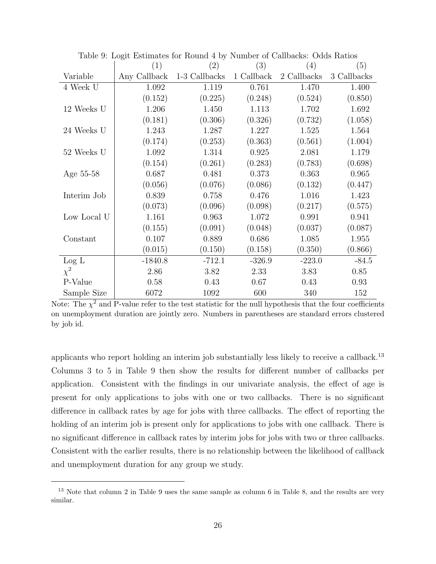|                    | (1)          | (2)           | (3)        | (4)         | (5)         |
|--------------------|--------------|---------------|------------|-------------|-------------|
| Variable           | Any Callback | 1-3 Callbacks | 1 Callback | 2 Callbacks | 3 Callbacks |
| 4 Week U           | 1.092        | 1.119         | 0.761      | 1.470       | 1.400       |
|                    | (0.152)      | (0.225)       | (0.248)    | (0.524)     | (0.850)     |
| $12$ Weeks $\rm U$ | 1.206        | 1.450         | 1.113      | 1.702       | 1.692       |
|                    | (0.181)      | (0.306)       | (0.326)    | (0.732)     | (1.058)     |
| 24 Weeks U         | 1.243        | 1.287         | 1.227      | 1.525       | 1.564       |
|                    | (0.174)      | (0.253)       | (0.363)    | (0.561)     | (1.004)     |
| 52 Weeks U         | 1.092        | 1.314         | 0.925      | 2.081       | 1.179       |
|                    | (0.154)      | (0.261)       | (0.283)    | (0.783)     | (0.698)     |
| Age 55-58          | 0.687        | 0.481         | 0.373      | 0.363       | 0.965       |
|                    | (0.056)      | (0.076)       | (0.086)    | (0.132)     | (0.447)     |
| Interim Job        | 0.839        | 0.758         | 0.476      | 1.016       | 1.423       |
|                    | (0.073)      | (0.096)       | (0.098)    | (0.217)     | (0.575)     |
| Low Local U        | 1.161        | 0.963         | 1.072      | 0.991       | 0.941       |
|                    | (0.155)      | (0.091)       | (0.048)    | (0.037)     | (0.087)     |
| Constant           | 0.107        | 0.889         | 0.686      | 1.085       | 1.955       |
|                    | (0.015)      | (0.150)       | (0.158)    | (0.350)     | (0.866)     |
| Log L              | $-1840.8$    | $-712.1$      | $-326.9$   | $-223.0$    | $-84.5$     |
| $\chi^2$           | 2.86         | 3.82          | 2.33       | 3.83        | 0.85        |
| P-Value            | 0.58         | 0.43          | 0.67       | 0.43        | 0.93        |
| Sample Size        | 6072         | 1092          | 600        | 340         | 152         |

Table 9: Logit Estimates for Round 4 by Number of Callbacks: Odds Ratios

Note: The  $\chi^2$  and P-value refer to the test statistic for the null hypothesis that the four coefficients on unemployment duration are jointly zero. Numbers in parentheses are standard errors clustered by job id.

applicants who report holding an interim job substantially less likely to receive a callback.<sup>13</sup> Columns 3 to 5 in Table 9 then show the results for different number of callbacks per application. Consistent with the findings in our univariate analysis, the effect of age is present for only applications to jobs with one or two callbacks. There is no significant difference in callback rates by age for jobs with three callbacks. The effect of reporting the holding of an interim job is present only for applications to jobs with one callback. There is no significant difference in callback rates by interim jobs for jobs with two or three callbacks. Consistent with the earlier results, there is no relationship between the likelihood of callback and unemployment duration for any group we study.

<sup>&</sup>lt;sup>13</sup> Note that column 2 in Table 9 uses the same sample as column 6 in Table 8, and the results are very similar.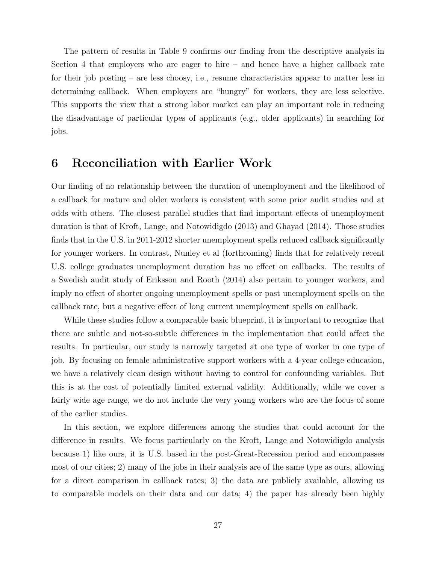The pattern of results in Table 9 confirms our finding from the descriptive analysis in Section 4 that employers who are eager to hire – and hence have a higher callback rate for their job posting – are less choosy, i.e., resume characteristics appear to matter less in determining callback. When employers are "hungry" for workers, they are less selective. This supports the view that a strong labor market can play an important role in reducing the disadvantage of particular types of applicants (e.g., older applicants) in searching for jobs.

### 6 Reconciliation with Earlier Work

Our finding of no relationship between the duration of unemployment and the likelihood of a callback for mature and older workers is consistent with some prior audit studies and at odds with others. The closest parallel studies that find important effects of unemployment duration is that of Kroft, Lange, and Notowidigdo (2013) and Ghayad (2014). Those studies finds that in the U.S. in 2011-2012 shorter unemployment spells reduced callback significantly for younger workers. In contrast, Nunley et al (forthcoming) finds that for relatively recent U.S. college graduates unemployment duration has no effect on callbacks. The results of a Swedish audit study of Eriksson and Rooth (2014) also pertain to younger workers, and imply no effect of shorter ongoing unemployment spells or past unemployment spells on the callback rate, but a negative effect of long current unemployment spells on callback.

While these studies follow a comparable basic blueprint, it is important to recognize that there are subtle and not-so-subtle differences in the implementation that could affect the results. In particular, our study is narrowly targeted at one type of worker in one type of job. By focusing on female administrative support workers with a 4-year college education, we have a relatively clean design without having to control for confounding variables. But this is at the cost of potentially limited external validity. Additionally, while we cover a fairly wide age range, we do not include the very young workers who are the focus of some of the earlier studies.

In this section, we explore differences among the studies that could account for the difference in results. We focus particularly on the Kroft, Lange and Notowidigdo analysis because 1) like ours, it is U.S. based in the post-Great-Recession period and encompasses most of our cities; 2) many of the jobs in their analysis are of the same type as ours, allowing for a direct comparison in callback rates; 3) the data are publicly available, allowing us to comparable models on their data and our data; 4) the paper has already been highly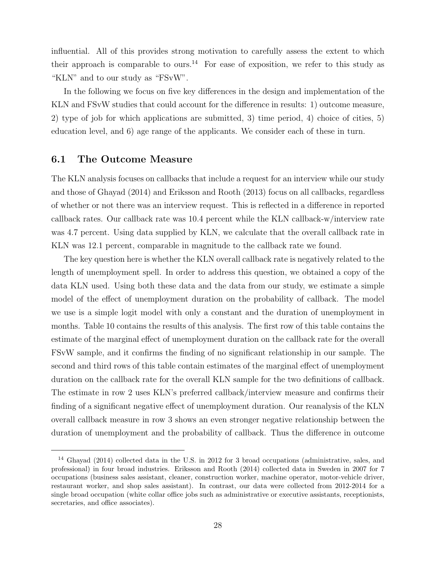influential. All of this provides strong motivation to carefully assess the extent to which their approach is comparable to ours.<sup>14</sup> For ease of exposition, we refer to this study as "KLN" and to our study as "FSvW".

In the following we focus on five key differences in the design and implementation of the KLN and FSvW studies that could account for the difference in results: 1) outcome measure, 2) type of job for which applications are submitted, 3) time period, 4) choice of cities, 5) education level, and 6) age range of the applicants. We consider each of these in turn.

#### 6.1 The Outcome Measure

The KLN analysis focuses on callbacks that include a request for an interview while our study and those of Ghayad (2014) and Eriksson and Rooth (2013) focus on all callbacks, regardless of whether or not there was an interview request. This is reflected in a difference in reported callback rates. Our callback rate was 10.4 percent while the KLN callback-w/interview rate was 4.7 percent. Using data supplied by KLN, we calculate that the overall callback rate in KLN was 12.1 percent, comparable in magnitude to the callback rate we found.

The key question here is whether the KLN overall callback rate is negatively related to the length of unemployment spell. In order to address this question, we obtained a copy of the data KLN used. Using both these data and the data from our study, we estimate a simple model of the effect of unemployment duration on the probability of callback. The model we use is a simple logit model with only a constant and the duration of unemployment in months. Table 10 contains the results of this analysis. The first row of this table contains the estimate of the marginal effect of unemployment duration on the callback rate for the overall FSvW sample, and it confirms the finding of no significant relationship in our sample. The second and third rows of this table contain estimates of the marginal effect of unemployment duration on the callback rate for the overall KLN sample for the two definitions of callback. The estimate in row 2 uses KLN's preferred callback/interview measure and confirms their finding of a significant negative effect of unemployment duration. Our reanalysis of the KLN overall callback measure in row 3 shows an even stronger negative relationship between the duration of unemployment and the probability of callback. Thus the difference in outcome

<sup>14</sup> Ghayad (2014) collected data in the U.S. in 2012 for 3 broad occupations (administrative, sales, and professional) in four broad industries. Eriksson and Rooth (2014) collected data in Sweden in 2007 for 7 occupations (business sales assistant, cleaner, construction worker, machine operator, motor-vehicle driver, restaurant worker, and shop sales assistant). In contrast, our data were collected from 2012-2014 for a single broad occupation (white collar office jobs such as administrative or executive assistants, receptionists, secretaries, and office associates).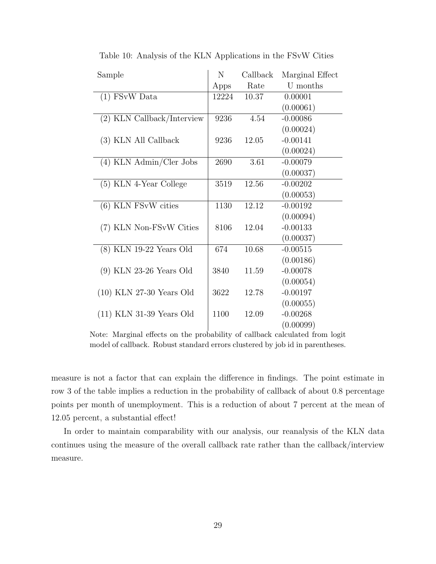| Sample                     | N     | Callback | Marginal Effect |
|----------------------------|-------|----------|-----------------|
|                            | Apps  | Rate     | U months        |
| $(1)$ FSvW Data            | 12224 | 10.37    | 0.00001         |
|                            |       |          | (0.00061)       |
| (2) KLN Callback/Interview | 9236  | 4.54     | $-0.00086$      |
|                            |       |          | (0.00024)       |
| (3) KLN All Callback       | 9236  | 12.05    | $-0.00141$      |
|                            |       |          | (0.00024)       |
| (4) KLN Admin/Cler Jobs    | 2690  | 3.61     | $-0.00079$      |
|                            |       |          | (0.00037)       |
| (5) KLN 4-Year College     | 3519  | 12.56    | $-0.00202$      |
|                            |       |          | (0.00053)       |
| $(6)$ KLN FSvW cities      | 1130  | 12.12    | $-0.00192$      |
|                            |       |          | (0.00094)       |
| (7) KLN Non-FSvW Cities    | 8106  | 12.04    | $-0.00133$      |
|                            |       |          | (0.00037)       |
| $(8)$ KLN 19-22 Years Old  | 674   | 10.68    | $-0.00515$      |
|                            |       |          | (0.00186)       |
| $(9)$ KLN 23-26 Years Old  | 3840  | 11.59    | $-0.00078$      |
|                            |       |          | (0.00054)       |
| $(10)$ KLN 27-30 Years Old | 3622  | 12.78    | $-0.00197$      |
|                            |       |          | (0.00055)       |
| $(11)$ KLN 31-39 Years Old | 1100  | 12.09    | $-0.00268$      |
|                            |       |          | (0.00099)       |

Table 10: Analysis of the KLN Applications in the FSvW Cities

Note: Marginal effects on the probability of callback calculated from logit model of callback. Robust standard errors clustered by job id in parentheses.

measure is not a factor that can explain the difference in findings. The point estimate in row 3 of the table implies a reduction in the probability of callback of about 0.8 percentage points per month of unemployment. This is a reduction of about 7 percent at the mean of 12.05 percent, a substantial effect!

In order to maintain comparability with our analysis, our reanalysis of the KLN data continues using the measure of the overall callback rate rather than the callback/interview measure.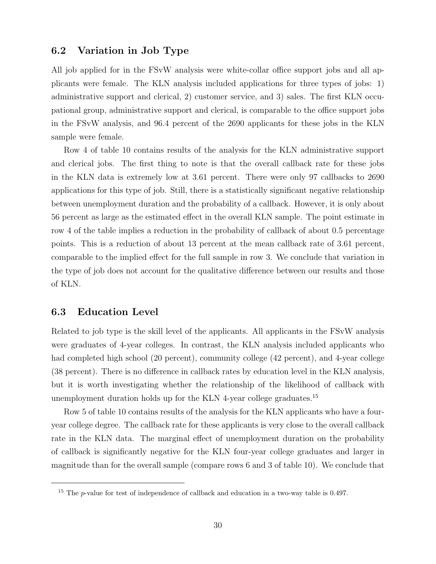#### 6.2 Variation in Job Type

All job applied for in the FSvW analysis were white-collar office support jobs and all applicants were female. The KLN analysis included applications for three types of jobs: 1) administrative support and clerical, 2) customer service, and 3) sales. The first KLN occupational group, administrative support and clerical, is comparable to the office support jobs in the FSvW analysis, and 96.4 percent of the 2690 applicants for these jobs in the KLN sample were female.

Row 4 of table 10 contains results of the analysis for the KLN administrative support and clerical jobs. The first thing to note is that the overall callback rate for these jobs in the KLN data is extremely low at 3.61 percent. There were only 97 callbacks to 2690 applications for this type of job. Still, there is a statistically significant negative relationship between unemployment duration and the probability of a callback. However, it is only about 56 percent as large as the estimated effect in the overall KLN sample. The point estimate in row 4 of the table implies a reduction in the probability of callback of about 0.5 percentage points. This is a reduction of about 13 percent at the mean callback rate of 3.61 percent, comparable to the implied effect for the full sample in row 3. We conclude that variation in the type of job does not account for the qualitative difference between our results and those of KLN.

#### 6.3 Education Level

Related to job type is the skill level of the applicants. All applicants in the FSvW analysis were graduates of 4-year colleges. In contrast, the KLN analysis included applicants who had completed high school (20 percent), community college (42 percent), and 4-year college (38 percent). There is no difference in callback rates by education level in the KLN analysis, but it is worth investigating whether the relationship of the likelihood of callback with unemployment duration holds up for the KLN 4-year college graduates.<sup>15</sup>

Row 5 of table 10 contains results of the analysis for the KLN applicants who have a fouryear college degree. The callback rate for these applicants is very close to the overall callback rate in the KLN data. The marginal effect of unemployment duration on the probability of callback is significantly negative for the KLN four-year college graduates and larger in magnitude than for the overall sample (compare rows 6 and 3 of table 10). We conclude that

<sup>&</sup>lt;sup>15</sup> The *p*-value for test of independence of callback and education in a two-way table is 0.497.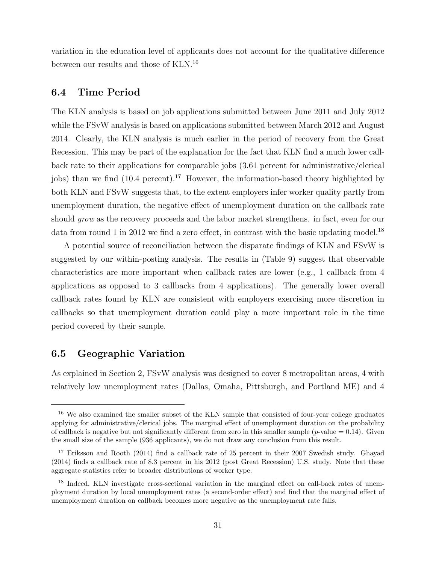variation in the education level of applicants does not account for the qualitative difference between our results and those of KLN.<sup>16</sup>

#### 6.4 Time Period

The KLN analysis is based on job applications submitted between June 2011 and July 2012 while the FSvW analysis is based on applications submitted between March 2012 and August 2014. Clearly, the KLN analysis is much earlier in the period of recovery from the Great Recession. This may be part of the explanation for the fact that KLN find a much lower callback rate to their applications for comparable jobs (3.61 percent for administrative/clerical jobs) than we find  $(10.4 \text{ percent})$ .<sup>17</sup> However, the information-based theory highlighted by both KLN and FSvW suggests that, to the extent employers infer worker quality partly from unemployment duration, the negative effect of unemployment duration on the callback rate should *grow* as the recovery proceeds and the labor market strengthens. in fact, even for our data from round 1 in 2012 we find a zero effect, in contrast with the basic updating model.<sup>18</sup>

A potential source of reconciliation between the disparate findings of KLN and FSvW is suggested by our within-posting analysis. The results in (Table 9) suggest that observable characteristics are more important when callback rates are lower (e.g., 1 callback from 4 applications as opposed to 3 callbacks from 4 applications). The generally lower overall callback rates found by KLN are consistent with employers exercising more discretion in callbacks so that unemployment duration could play a more important role in the time period covered by their sample.

#### 6.5 Geographic Variation

As explained in Section 2, FSvW analysis was designed to cover 8 metropolitan areas, 4 with relatively low unemployment rates (Dallas, Omaha, Pittsburgh, and Portland ME) and 4

<sup>16</sup> We also examined the smaller subset of the KLN sample that consisted of four-year college graduates applying for administrative/clerical jobs. The marginal effect of unemployment duration on the probability of callback is negative but not significantly different from zero in this smaller sample ( $p$ -value = 0.14). Given the small size of the sample (936 applicants), we do not draw any conclusion from this result.

<sup>&</sup>lt;sup>17</sup> Eriksson and Rooth (2014) find a callback rate of 25 percent in their 2007 Swedish study. Ghayad (2014) finds a callback rate of 8.3 percent in his 2012 (post Great Recession) U.S. study. Note that these aggregate statistics refer to broader distributions of worker type.

<sup>&</sup>lt;sup>18</sup> Indeed, KLN investigate cross-sectional variation in the marginal effect on call-back rates of unemployment duration by local unemployment rates (a second-order effect) and find that the marginal effect of unemployment duration on callback becomes more negative as the unemployment rate falls.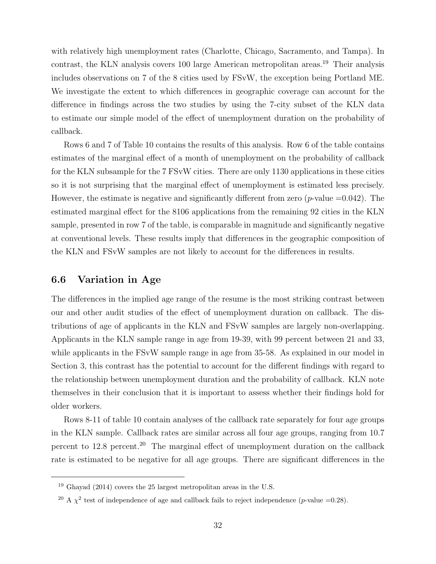with relatively high unemployment rates (Charlotte, Chicago, Sacramento, and Tampa). In contrast, the KLN analysis covers 100 large American metropolitan areas.<sup>19</sup> Their analysis includes observations on 7 of the 8 cities used by FSvW, the exception being Portland ME. We investigate the extent to which differences in geographic coverage can account for the difference in findings across the two studies by using the 7-city subset of the KLN data to estimate our simple model of the effect of unemployment duration on the probability of callback.

Rows 6 and 7 of Table 10 contains the results of this analysis. Row 6 of the table contains estimates of the marginal effect of a month of unemployment on the probability of callback for the KLN subsample for the 7 FSvW cities. There are only 1130 applications in these cities so it is not surprising that the marginal effect of unemployment is estimated less precisely. However, the estimate is negative and significantly different from zero  $(p$ -value  $=0.042)$ . The estimated marginal effect for the 8106 applications from the remaining 92 cities in the KLN sample, presented in row 7 of the table, is comparable in magnitude and significantly negative at conventional levels. These results imply that differences in the geographic composition of the KLN and FSvW samples are not likely to account for the differences in results.

#### 6.6 Variation in Age

The differences in the implied age range of the resume is the most striking contrast between our and other audit studies of the effect of unemployment duration on callback. The distributions of age of applicants in the KLN and FSvW samples are largely non-overlapping. Applicants in the KLN sample range in age from 19-39, with 99 percent between 21 and 33, while applicants in the FSvW sample range in age from 35-58. As explained in our model in Section 3, this contrast has the potential to account for the different findings with regard to the relationship between unemployment duration and the probability of callback. KLN note themselves in their conclusion that it is important to assess whether their findings hold for older workers.

Rows 8-11 of table 10 contain analyses of the callback rate separately for four age groups in the KLN sample. Callback rates are similar across all four age groups, ranging from 10.7 percent to  $12.8$  percent.<sup>20</sup> The marginal effect of unemployment duration on the callback rate is estimated to be negative for all age groups. There are significant differences in the

 $19$  Ghayad (2014) covers the 25 largest metropolitan areas in the U.S.

<sup>&</sup>lt;sup>20</sup> A  $\chi^2$  test of independence of age and callback fails to reject independence (*p*-value =0.28).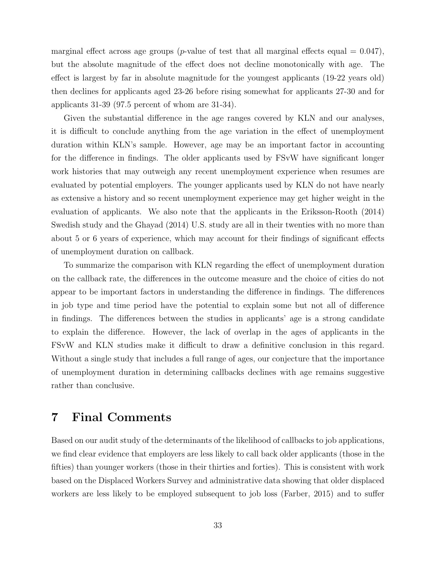marginal effect across age groups (*p*-value of test that all marginal effects equal  $= 0.047$ ), but the absolute magnitude of the effect does not decline monotonically with age. The effect is largest by far in absolute magnitude for the youngest applicants (19-22 years old) then declines for applicants aged 23-26 before rising somewhat for applicants 27-30 and for applicants 31-39 (97.5 percent of whom are 31-34).

Given the substantial difference in the age ranges covered by KLN and our analyses, it is difficult to conclude anything from the age variation in the effect of unemployment duration within KLN's sample. However, age may be an important factor in accounting for the difference in findings. The older applicants used by FSvW have significant longer work histories that may outweigh any recent unemployment experience when resumes are evaluated by potential employers. The younger applicants used by KLN do not have nearly as extensive a history and so recent unemployment experience may get higher weight in the evaluation of applicants. We also note that the applicants in the Eriksson-Rooth (2014) Swedish study and the Ghayad (2014) U.S. study are all in their twenties with no more than about 5 or 6 years of experience, which may account for their findings of significant effects of unemployment duration on callback.

To summarize the comparison with KLN regarding the effect of unemployment duration on the callback rate, the differences in the outcome measure and the choice of cities do not appear to be important factors in understanding the difference in findings. The differences in job type and time period have the potential to explain some but not all of difference in findings. The differences between the studies in applicants' age is a strong candidate to explain the difference. However, the lack of overlap in the ages of applicants in the FSvW and KLN studies make it difficult to draw a definitive conclusion in this regard. Without a single study that includes a full range of ages, our conjecture that the importance of unemployment duration in determining callbacks declines with age remains suggestive rather than conclusive.

### 7 Final Comments

Based on our audit study of the determinants of the likelihood of callbacks to job applications, we find clear evidence that employers are less likely to call back older applicants (those in the fifties) than younger workers (those in their thirties and forties). This is consistent with work based on the Displaced Workers Survey and administrative data showing that older displaced workers are less likely to be employed subsequent to job loss (Farber, 2015) and to suffer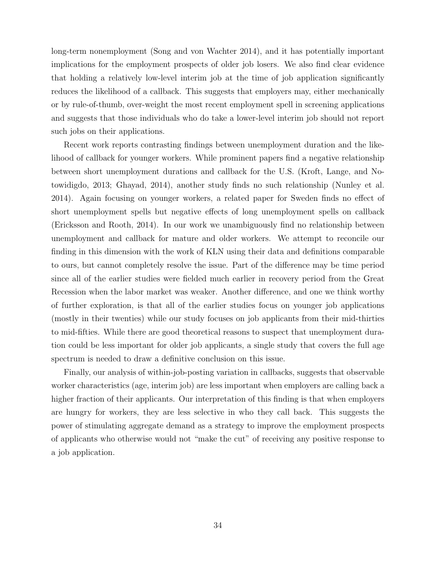long-term nonemployment (Song and von Wachter 2014), and it has potentially important implications for the employment prospects of older job losers. We also find clear evidence that holding a relatively low-level interim job at the time of job application significantly reduces the likelihood of a callback. This suggests that employers may, either mechanically or by rule-of-thumb, over-weight the most recent employment spell in screening applications and suggests that those individuals who do take a lower-level interim job should not report such jobs on their applications.

Recent work reports contrasting findings between unemployment duration and the likelihood of callback for younger workers. While prominent papers find a negative relationship between short unemployment durations and callback for the U.S. (Kroft, Lange, and Notowidigdo, 2013; Ghayad, 2014), another study finds no such relationship (Nunley et al. 2014). Again focusing on younger workers, a related paper for Sweden finds no effect of short unemployment spells but negative effects of long unemployment spells on callback (Ericksson and Rooth, 2014). In our work we unambiguously find no relationship between unemployment and callback for mature and older workers. We attempt to reconcile our finding in this dimension with the work of KLN using their data and definitions comparable to ours, but cannot completely resolve the issue. Part of the difference may be time period since all of the earlier studies were fielded much earlier in recovery period from the Great Recession when the labor market was weaker. Another difference, and one we think worthy of further exploration, is that all of the earlier studies focus on younger job applications (mostly in their twenties) while our study focuses on job applicants from their mid-thirties to mid-fifties. While there are good theoretical reasons to suspect that unemployment duration could be less important for older job applicants, a single study that covers the full age spectrum is needed to draw a definitive conclusion on this issue.

Finally, our analysis of within-job-posting variation in callbacks, suggests that observable worker characteristics (age, interim job) are less important when employers are calling back a higher fraction of their applicants. Our interpretation of this finding is that when employers are hungry for workers, they are less selective in who they call back. This suggests the power of stimulating aggregate demand as a strategy to improve the employment prospects of applicants who otherwise would not "make the cut" of receiving any positive response to a job application.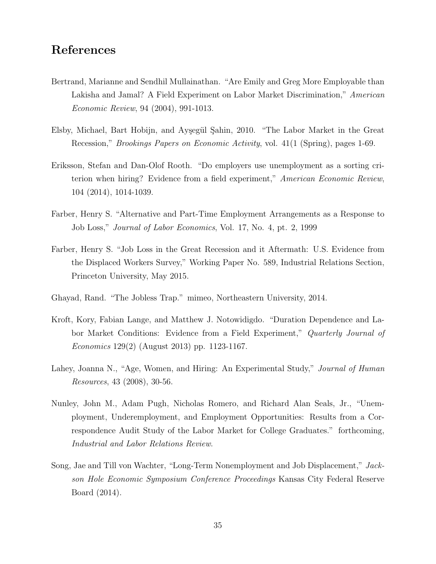### References

- Bertrand, Marianne and Sendhil Mullainathan. "Are Emily and Greg More Employable than Lakisha and Jamal? A Field Experiment on Labor Market Discrimination," American Economic Review, 94 (2004), 991-1013.
- Elsby, Michael, Bart Hobijn, and Ayşegül Şahin, 2010. "The Labor Market in the Great Recession," Brookings Papers on Economic Activity, vol. 41(1 (Spring), pages 1-69.
- Eriksson, Stefan and Dan-Olof Rooth. "Do employers use unemployment as a sorting criterion when hiring? Evidence from a field experiment," American Economic Review, 104 (2014), 1014-1039.
- Farber, Henry S. "Alternative and Part-Time Employment Arrangements as a Response to Job Loss," Journal of Labor Economics, Vol. 17, No. 4, pt. 2, 1999
- Farber, Henry S. "Job Loss in the Great Recession and it Aftermath: U.S. Evidence from the Displaced Workers Survey," Working Paper No. 589, Industrial Relations Section, Princeton University, May 2015.
- Ghayad, Rand. "The Jobless Trap." mimeo, Northeastern University, 2014.
- Kroft, Kory, Fabian Lange, and Matthew J. Notowidigdo. "Duration Dependence and Labor Market Conditions: Evidence from a Field Experiment," Quarterly Journal of Economics 129(2) (August 2013) pp. 1123-1167.
- Lahey, Joanna N., "Age, Women, and Hiring: An Experimental Study," *Journal of Human* Resources, 43 (2008), 30-56.
- Nunley, John M., Adam Pugh, Nicholas Romero, and Richard Alan Seals, Jr., "Unemployment, Underemployment, and Employment Opportunities: Results from a Correspondence Audit Study of the Labor Market for College Graduates." forthcoming, Industrial and Labor Relations Review.
- Song, Jae and Till von Wachter, "Long-Term Nonemployment and Job Displacement," Jackson Hole Economic Symposium Conference Proceedings Kansas City Federal Reserve Board (2014).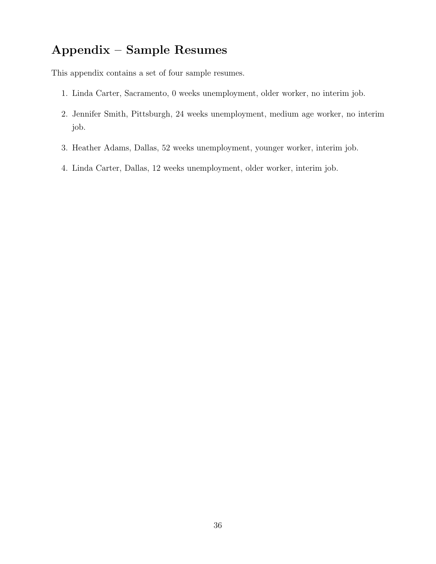# Appendix – Sample Resumes

This appendix contains a set of four sample resumes.

- 1. Linda Carter, Sacramento, 0 weeks unemployment, older worker, no interim job.
- 2. Jennifer Smith, Pittsburgh, 24 weeks unemployment, medium age worker, no interim job.
- 3. Heather Adams, Dallas, 52 weeks unemployment, younger worker, interim job.
- 4. Linda Carter, Dallas, 12 weeks unemployment, older worker, interim job.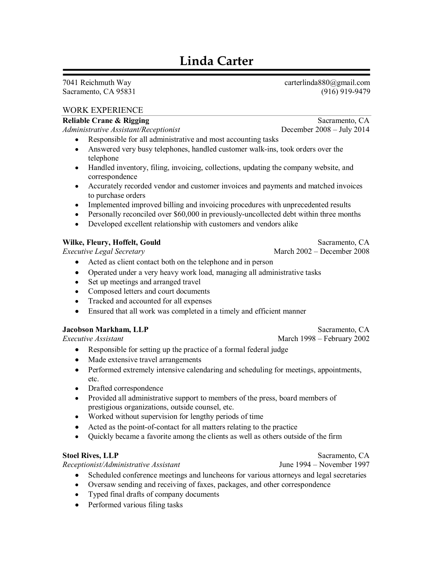# **Linda Carter**

7041 Reichmuth Way Sacramento, CA 95831

#### **WORK EXPERIENCE**

#### **Reliable Crane & Rigging**

Administrative Assistant/Receptionist

- Responsible for all administrative and most accounting tasks
- Answered very busy telephones, handled customer walk-ins, took orders over the telephone
- Handled inventory, filing, invoicing, collections, updating the company website, and correspondence
- Accurately recorded vendor and customer invoices and payments and matched invoices to purchase orders
- Implemented improved billing and invoicing procedures with unprecedented results
- Personally reconciled over \$60,000 in previously-uncollected debt within three months
- Developed excellent relationship with customers and vendors alike

#### Wilke, Fleury, Hoffelt, Gould

**Executive Legal Secretary** 

- Acted as client contact both on the telephone and in person
- Operated under a very heavy work load, managing all administrative tasks
- Set up meetings and arranged travel
- Composed letters and court documents
- Tracked and accounted for all expenses  $\bullet$
- Ensured that all work was completed in a timely and efficient manner

#### **Jacobson Markham, LLP**

**Executive Assistant** 

- Responsible for setting up the practice of a formal federal judge
- Made extensive travel arrangements
- Performed extremely intensive calendaring and scheduling for meetings, appointments, etc.
- Drafted correspondence
- Provided all administrative support to members of the press, board members of prestigious organizations, outside counsel, etc.
- Worked without supervision for lengthy periods of time
- Acted as the point-of-contact for all matters relating to the practice
- Quickly became a favorite among the clients as well as others outside of the firm

#### **Stoel Rives, LLP**

Receptionist/Administrative Assistant

- Scheduled conference meetings and luncheons for various attorneys and legal secretaries
- Oversaw sending and receiving of faxes, packages, and other correspondence
- Typed final drafts of company documents
- Performed various filing tasks

carterlinda880@gmail.com  $(916)$  919-9479

Sacramento, CA December 2008 - July 2014

Sacramento, CA March 2002 - December 2008

March 1998 – February 2002

Sacramento, CA

Sacramento, CA

June 1994 – November 1997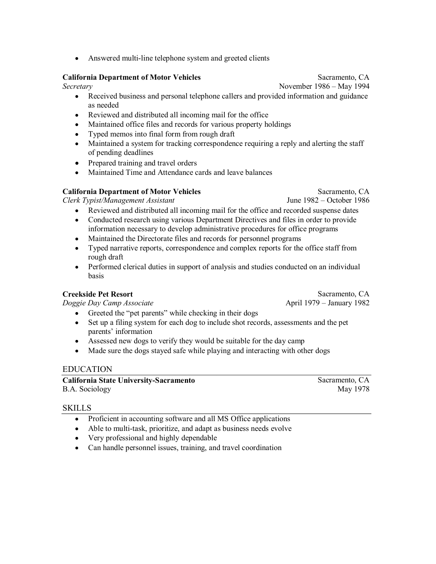$\bullet$ Answered multi-line telephone system and greeted clients

#### **California Department of Motor Vehicles**

Secretary

- Received business and personal telephone callers and provided information and guidance  $\bullet$ as needed
- Reviewed and distributed all incoming mail for the office
- Maintained office files and records for various property holdings  $\bullet$
- Typed memos into final form from rough draft  $\bullet$
- Maintained a system for tracking correspondence requiring a reply and alerting the staff  $\bullet$ of pending deadlines
- Prepared training and travel orders
- Maintained Time and Attendance cards and leave balances

#### **California Department of Motor Vehicles**

Clerk Typist/Management Assistant

- Reviewed and distributed all incoming mail for the office and recorded suspense dates  $\bullet$
- Conducted research using various Department Directives and files in order to provide  $\bullet$ information necessary to develop administrative procedures for office programs
- Maintained the Directorate files and records for personnel programs
- Typed narrative reports, correspondence and complex reports for the office staff from  $\bullet$ rough draft
- Performed clerical duties in support of analysis and studies conducted on an individual **basis**

#### **Creekside Pet Resort**

Doggie Day Camp Associate

- Greeted the "pet parents" while checking in their dogs  $\bullet$
- Set up a filing system for each dog to include shot records, assessments and the pet  $\bullet$ parents' information
- Assessed new dogs to verify they would be suitable for the day camp
- Made sure the dogs stayed safe while playing and interacting with other dogs  $\bullet$

#### **EDUCATION**

**California State University-Sacramento** B.A. Sociology

Sacramento, CA May 1978

#### **SKILLS**

- Proficient in accounting software and all MS Office applications  $\bullet$
- Able to multi-task, prioritize, and adapt as business needs evolve
- Very professional and highly dependable
- Can handle personnel issues, training, and travel coordination

Sacramento, CA

June 1982 – October 1986

Sacramento, CA

April 1979 – January 1982

Sacramento, CA

November 1986 – May 1994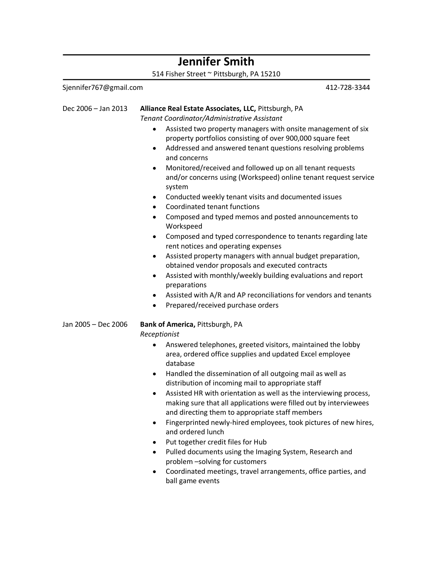#### **Jennifer Smith** 514 Fisher Street ~ Pittsburgh, PA 15210 Sjennifer767@gmail.com 412-728-3344 Dec 2006 - Jan 2013 Alliance Real Estate Associates, LLC, Pittsburgh, PA Tenant Coordinator/Administrative Assistant • Assisted two property managers with onsite management of six property portfolios consisting of over 900,000 square feet • Addressed and answered tenant questions resolving problems and concerns Monitored/received and followed up on all tenant requests  $\bullet$ and/or concerns using (Workspeed) online tenant request service system • Conducted weekly tenant visits and documented issues Coordinated tenant functions • Composed and typed memos and posted announcements to Workspeed • Composed and typed correspondence to tenants regarding late rent notices and operating expenses • Assisted property managers with annual budget preparation, obtained vendor proposals and executed contracts Assisted with monthly/weekly building evaluations and report preparations • Assisted with A/R and AP reconciliations for vendors and tenants Prepared/received purchase orders Jan 2005 - Dec 2006 Bank of America, Pittsburgh, PA Receptionist Answered telephones, greeted visitors, maintained the lobby  $\bullet$ area, ordered office supplies and updated Excel employee database • Handled the dissemination of all outgoing mail as well as distribution of incoming mail to appropriate staff • Assisted HR with orientation as well as the interviewing process, making sure that all applications were filled out by interviewees and directing them to appropriate staff members • Fingerprinted newly-hired employees, took pictures of new hires, and ordered lunch • Put together credit files for Hub • Pulled documents using the Imaging System, Research and problem -solving for customers  $\bullet$

Coordinated meetings, travel arrangements, office parties, and ball game events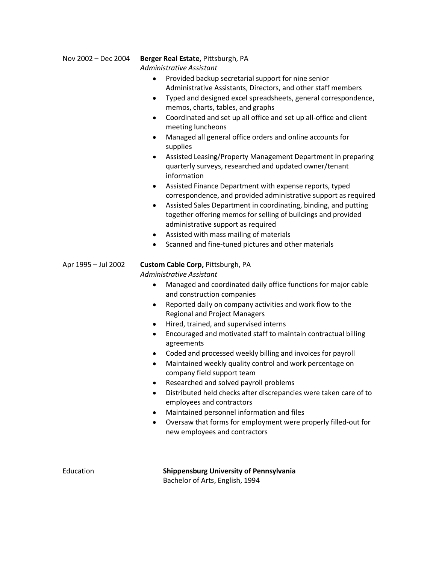#### Nov 2002 - Dec 2004

#### Berger Real Estate, Pittsburgh, PA

Administrative Assistant

- Provided backup secretarial support for nine senior  $\bullet$ Administrative Assistants, Directors, and other staff members
- Typed and designed excel spreadsheets, general correspondence, memos, charts, tables, and graphs
- Coordinated and set up all office and set up all-office and client meeting luncheons
- Managed all general office orders and online accounts for supplies
- Assisted Leasing/Property Management Department in preparing quarterly surveys, researched and updated owner/tenant information
- Assisted Finance Department with expense reports, typed correspondence, and provided administrative support as required
- Assisted Sales Department in coordinating, binding, and putting  $\bullet$ together offering memos for selling of buildings and provided administrative support as required
- Assisted with mass mailing of materials
- Scanned and fine-tuned pictures and other materials

#### Apr 1995 - Jul 2002 Custom Cable Corp, Pittsburgh, PA Administrative Assistant

- Managed and coordinated daily office functions for major cable and construction companies
- Reported daily on company activities and work flow to the **Regional and Project Managers**
- Hired, trained, and supervised interns
- Encouraged and motivated staff to maintain contractual billing agreements
- Coded and processed weekly billing and invoices for payroll
- Maintained weekly quality control and work percentage on company field support team
- Researched and solved payroll problems
- Distributed held checks after discrepancies were taken care of to employees and contractors
- Maintained personnel information and files
- Oversaw that forms for employment were properly filled-out for new employees and contractors

Education

Shippensburg University of Pennsylvania Bachelor of Arts, English, 1994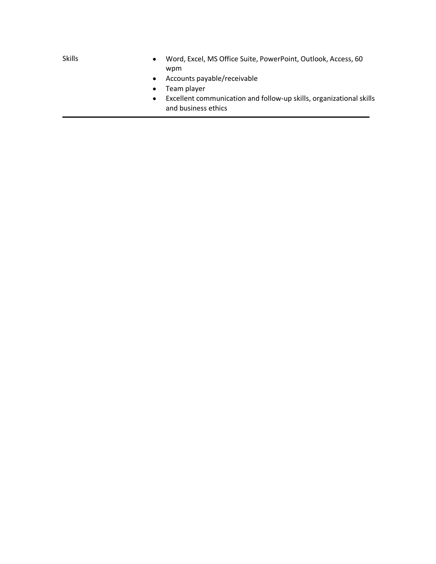- Word, Excel, MS Office Suite, PowerPoint, Outlook, Access, 60 wpm
- Accounts payable/receivable
- Team player  $\bullet$
- Excellent communication and follow-up skills, organizational skills and business ethics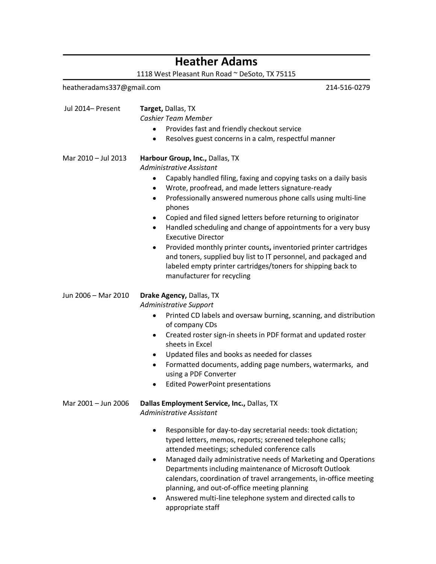### **Heather Adams**

1118 West Pleasant Run Road ~ DeSoto, TX 75115

heatheradams337@gmail.com 214-516-0279 Jul 2014- Present Target, Dallas, TX Cashier Team Member • Provides fast and friendly checkout service Resolves guest concerns in a calm, respectful manner  $\bullet$ Mar 2010 - Jul 2013 Harbour Group, Inc., Dallas, TX Administrative Assistant • Capably handled filing, faxing and copying tasks on a daily basis • Wrote, proofread, and made letters signature-ready • Professionally answered numerous phone calls using multi-line phones Copied and filed signed letters before returning to originator • Handled scheduling and change of appointments for a very busy **Executive Director** • Provided monthly printer counts, inventoried printer cartridges and toners, supplied buy list to IT personnel, and packaged and labeled empty printer cartridges/toners for shipping back to manufacturer for recycling Jun 2006 - Mar 2010 Drake Agency, Dallas, TX Administrative Support • Printed CD labels and oversaw burning, scanning, and distribution of company CDs • Created roster sign-in sheets in PDF format and updated roster sheets in Excel • Updated files and books as needed for classes • Formatted documents, adding page numbers, watermarks, and using a PDF Converter **Edited PowerPoint presentations**  $\bullet$ Mar 2001 - Jun 2006 Dallas Employment Service, Inc., Dallas, TX Administrative Assistant Responsible for day-to-day secretarial needs: took dictation;  $\bullet$ typed letters, memos, reports; screened telephone calls; attended meetings; scheduled conference calls • Managed daily administrative needs of Marketing and Operations Departments including maintenance of Microsoft Outlook calendars, coordination of travel arrangements, in-office meeting planning, and out-of-office meeting planning Answered multi-line telephone system and directed calls to appropriate staff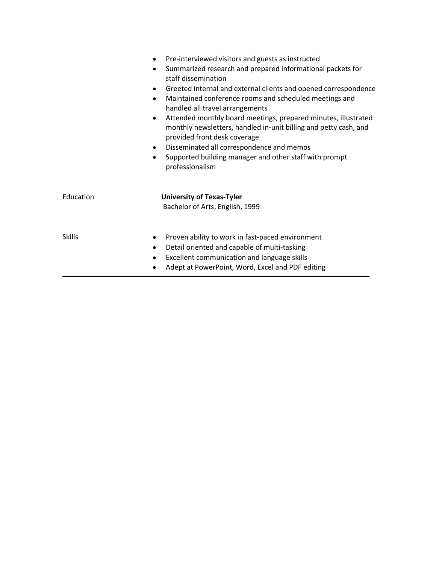| $\bullet$<br>$\bullet$<br>٠<br>$\bullet$ | Pre-interviewed visitors and guests as instructed<br>Summarized research and prepared informational packets for<br>staff dissemination<br>Greeted internal and external clients and opened correspondence<br>Maintained conference rooms and scheduled meetings and<br>handled all travel arrangements<br>Attended monthly board meetings, prepared minutes, illustrated<br>monthly newsletters, handled in-unit billing and petty cash, and<br>provided front desk coverage<br>Disseminated all correspondence and memos<br>Supported building manager and other staff with prompt<br>professionalism |
|------------------------------------------|--------------------------------------------------------------------------------------------------------------------------------------------------------------------------------------------------------------------------------------------------------------------------------------------------------------------------------------------------------------------------------------------------------------------------------------------------------------------------------------------------------------------------------------------------------------------------------------------------------|
| Education                                | <b>University of Texas-Tyler</b><br>Bachelor of Arts, English, 1999                                                                                                                                                                                                                                                                                                                                                                                                                                                                                                                                    |
| <b>Skills</b>                            | Proven ability to work in fast-paced environment<br>Detail oriented and capable of multi-tasking<br>Excellent communication and language skills<br>Adept at PowerPoint, Word, Excel and PDF editing                                                                                                                                                                                                                                                                                                                                                                                                    |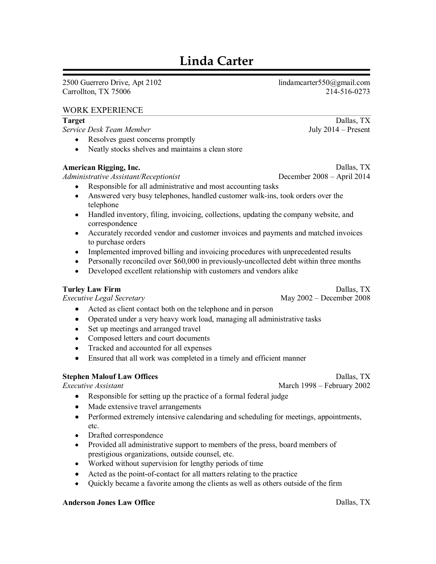# **Linda Carter**

2500 Guerrero Drive, Apt 2102 Carrollton, TX 75006

lindamcarter550@gmail.com 214-516-0273

#### **WORK EXPERIENCE**

#### **Target**

Service Desk Team Member

- Resolves guest concerns promptly
- Neatly stocks shelves and maintains a clean store

#### **American Rigging, Inc.**

Administrative Assistant/Receptionist

- December 2008 April 2014
- Responsible for all administrative and most accounting tasks
- Answered very busy telephones, handled customer walk-ins, took orders over the  $\bullet$ telephone
- Handled inventory, filing, invoicing, collections, updating the company website, and correspondence
- Accurately recorded vendor and customer invoices and payments and matched invoices to purchase orders
- Implemented improved billing and invoicing procedures with unprecedented results
- Personally reconciled over \$60,000 in previously-uncollected debt within three months
- Developed excellent relationship with customers and vendors alike

#### **Turley Law Firm**

**Executive Legal Secretary** 

Dallas, TX May  $2002$  – December 2008

- Acted as client contact both on the telephone and in person
- Operated under a very heavy work load, managing all administrative tasks
- Set up meetings and arranged travel
- Composed letters and court documents
- Tracked and accounted for all expenses  $\bullet$
- Ensured that all work was completed in a timely and efficient manner  $\bullet$

#### **Stephen Malouf Law Offices**

Executive Assistant

Dallas, TX

- March 1998 February 2002
- Responsible for setting up the practice of a formal federal judge
- Made extensive travel arrangements
- Performed extremely intensive calendaring and scheduling for meetings, appointments, etc.
- Drafted correspondence
- Provided all administrative support to members of the press, board members of prestigious organizations, outside counsel, etc.
- Worked without supervision for lengthy periods of time
- Acted as the point-of-contact for all matters relating to the practice
- Quickly became a favorite among the clients as well as others outside of the firm  $\bullet$

#### **Anderson Jones Law Office**

July  $2014$  – Present

Dallas, TX

Dallas, TX